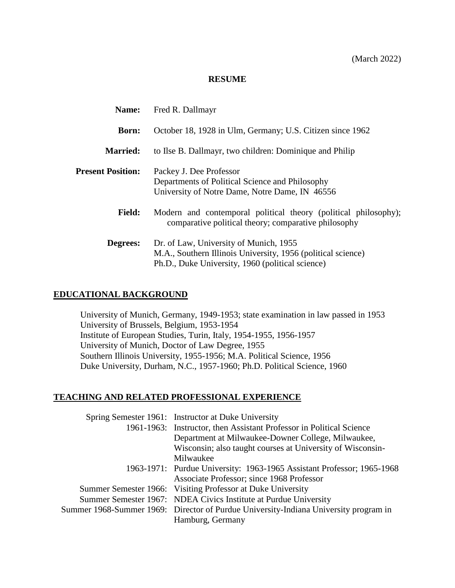#### **RESUME**

| <b>Name:</b>             | Fred R. Dallmayr                                                                                                                                           |
|--------------------------|------------------------------------------------------------------------------------------------------------------------------------------------------------|
| <b>Born:</b>             | October 18, 1928 in Ulm, Germany; U.S. Citizen since 1962                                                                                                  |
| <b>Married:</b>          | to Ilse B. Dallmayr, two children: Dominique and Philip                                                                                                    |
| <b>Present Position:</b> | Packey J. Dee Professor<br>Departments of Political Science and Philosophy<br>University of Notre Dame, Notre Dame, IN 46556                               |
| <b>Field:</b>            | Modern and contemporal political theory (political philosophy);<br>comparative political theory; comparative philosophy                                    |
| Degrees:                 | Dr. of Law, University of Munich, 1955<br>M.A., Southern Illinois University, 1956 (political science)<br>Ph.D., Duke University, 1960 (political science) |

#### **EDUCATIONAL BACKGROUND**

University of Munich, Germany, 1949-1953; state examination in law passed in 1953 University of Brussels, Belgium, 1953-1954 Institute of European Studies, Turin, Italy, 1954-1955, 1956-1957 University of Munich, Doctor of Law Degree, 1955 Southern Illinois University, 1955-1956; M.A. Political Science, 1956 Duke University, Durham, N.C., 1957-1960; Ph.D. Political Science, 1960

## **TEACHING AND RELATED PROFESSIONAL EXPERIENCE**

| Spring Semester 1961: Instructor at Duke University                                  |
|--------------------------------------------------------------------------------------|
| 1961-1963: Instructor, then Assistant Professor in Political Science                 |
| Department at Milwaukee-Downer College, Milwaukee,                                   |
| Wisconsin; also taught courses at University of Wisconsin-                           |
| Milwaukee                                                                            |
| 1963-1971: Purdue University: 1963-1965 Assistant Professor; 1965-1968               |
| Associate Professor; since 1968 Professor                                            |
| Summer Semester 1966: Visiting Professor at Duke University                          |
| Summer Semester 1967: NDEA Civics Institute at Purdue University                     |
| Summer 1968-Summer 1969: Director of Purdue University-Indiana University program in |
| Hamburg, Germany                                                                     |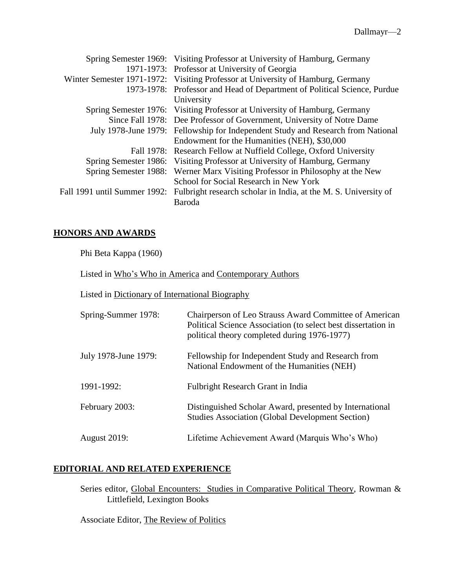|                              | Spring Semester 1969: Visiting Professor at University of Hamburg, Germany       |
|------------------------------|----------------------------------------------------------------------------------|
|                              | 1971-1973: Professor at University of Georgia                                    |
|                              | Winter Semester 1971-1972: Visiting Professor at University of Hamburg, Germany  |
|                              | 1973-1978: Professor and Head of Department of Political Science, Purdue         |
|                              | University                                                                       |
|                              | Spring Semester 1976: Visiting Professor at University of Hamburg, Germany       |
|                              | Since Fall 1978: Dee Professor of Government, University of Notre Dame           |
|                              | July 1978-June 1979: Fellowship for Independent Study and Research from National |
|                              | Endowment for the Humanities (NEH), \$30,000                                     |
|                              | Fall 1978: Research Fellow at Nuffield College, Oxford University                |
| Spring Semester 1986:        | Visiting Professor at University of Hamburg, Germany                             |
| Spring Semester 1988:        | Werner Marx Visiting Professor in Philosophy at the New                          |
|                              | School for Social Research in New York                                           |
| Fall 1991 until Summer 1992: | Fulbright research scholar in India, at the M. S. University of                  |
|                              | Baroda                                                                           |
|                              |                                                                                  |

## **HONORS AND AWARDS**

Phi Beta Kappa (1960)

Listed in Who's Who in America and Contemporary Authors

Listed in Dictionary of International Biography

| Spring-Summer 1978:  | Chairperson of Leo Strauss Award Committee of American<br>Political Science Association (to select best dissertation in<br>political theory completed during 1976-1977) |
|----------------------|-------------------------------------------------------------------------------------------------------------------------------------------------------------------------|
| July 1978-June 1979: | Fellowship for Independent Study and Research from<br>National Endowment of the Humanities (NEH)                                                                        |
| 1991-1992:           | Fulbright Research Grant in India                                                                                                                                       |
| February 2003:       | Distinguished Scholar Award, presented by International<br><b>Studies Association (Global Development Section)</b>                                                      |
| <b>August 2019:</b>  | Lifetime Achievement Award (Marquis Who's Who)                                                                                                                          |

## **EDlTORIAL AND RELATED EXPERIENCE**

Series editor, Global Encounters: Studies in Comparative Political Theory, Rowman & Littlefield, Lexington Books

Associate Editor, The Review of Politics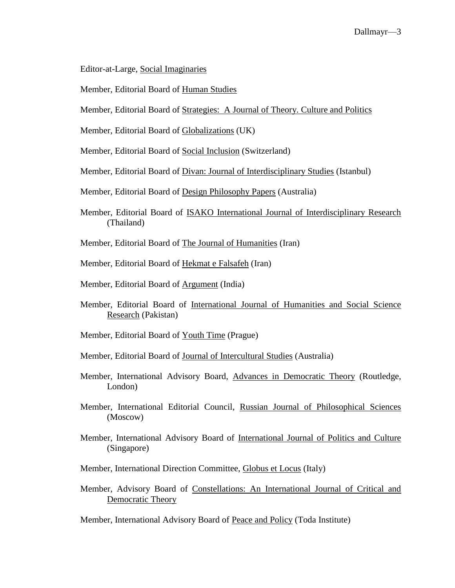Editor-at-Large, Social Imaginaries

Member, Editorial Board of Human Studies

Member, Editorial Board of Strategies: A Journal of Theory. Culture and Politics

Member, Editorial Board of Globalizations (UK)

Member, Editorial Board of Social Inclusion (Switzerland)

Member, Editorial Board of Divan: Journal of Interdisciplinary Studies (Istanbul)

Member, Editorial Board of Design Philosophy Papers (Australia)

- Member, Editorial Board of ISAKO International Journal of Interdisciplinary Research (Thailand)
- Member, Editorial Board of The Journal of Humanities (Iran)
- Member, Editorial Board of Hekmat e Falsafeh (Iran)
- Member, Editorial Board of Argument (India)
- Member, Editorial Board of International Journal of Humanities and Social Science Research (Pakistan)
- Member, Editorial Board of Youth Time (Prague)
- Member, Editorial Board of Journal of Intercultural Studies (Australia)
- Member, International Advisory Board, Advances in Democratic Theory (Routledge, London)
- Member, International Editorial Council, Russian Journal of Philosophical Sciences (Moscow)
- Member, International Advisory Board of International Journal of Politics and Culture (Singapore)
- Member, International Direction Committee, Globus et Locus (Italy)
- Member, Advisory Board of Constellations: An International Journal of Critical and Democratic Theory

Member, International Advisory Board of Peace and Policy (Toda Institute)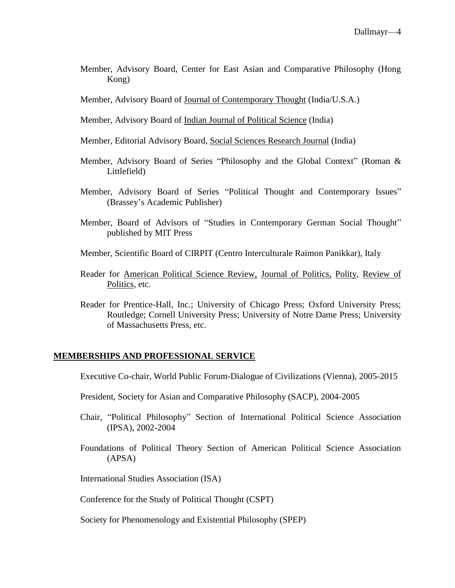Member, Advisory Board, Center for East Asian and Comparative Philosophy (Hong Kong)

Member, Advisory Board of Journal of Contemporary Thought (India/U.S.A.)

- Member, Advisory Board of Indian Journal of Political Science (India)
- Member, Editorial Advisory Board, Social Sciences Research Journal (India)
- Member, Advisory Board of Series "Philosophy and the Global Context" (Roman & Littlefield)
- Member, Advisory Board of Series "Political Thought and Contemporary Issues" (Brassey's Academic Publisher)
- Member, Board of Advisors of "Studies in Contemporary German Social Thought" published by MIT Press
- Member, Scientific Board of CIRPIT (Centro Interculturale Raimon Panikkar), Italy
- Reader for American Political Science Review, Journal of Politics, Polity, Review of Politics, etc.
- Reader for Prentice-Hall, Inc.; University of Chicago Press; Oxford University Press; Routledge; Cornell University Press; University of Notre Dame Press; University of Massachusetts Press, etc.

#### **MEMBERSHIPS AND PROFESSIONAL SERVICE**

Executive Co-chair, World Public Forum-Dialogue of Civilizations (Vienna), 2005-2015

- President, Society for Asian and Comparative Philosophy (SACP), 2004-2005
- Chair, "Political Philosophy" Section of International Political Science Association (IPSA), 2002-2004
- Foundations of Political Theory Section of American Political Science Association (APSA)
- International Studies Association (ISA)

Conference for the Study of Political Thought (CSPT)

Society for Phenomenology and Existential Philosophy (SPEP)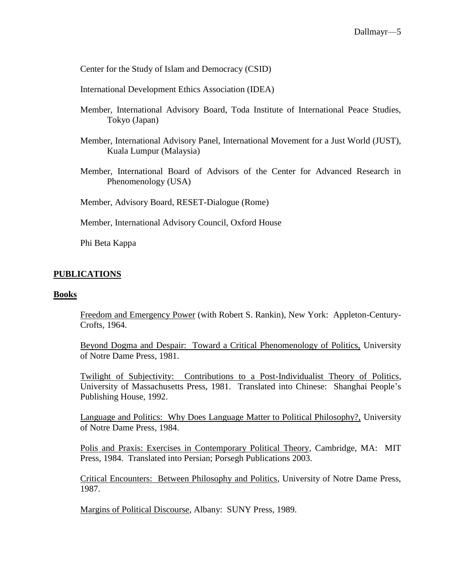Center for the Study of Islam and Democracy (CSID)

International Development Ethics Association (IDEA)

- Member, International Advisory Board, Toda Institute of International Peace Studies, Tokyo (Japan)
- Member, International Advisory Panel, International Movement for a Just World (JUST), Kuala Lumpur (Malaysia)
- Member, International Board of Advisors of the Center for Advanced Research in Phenomenology (USA)

Member, Advisory Board, RESET-Dialogue (Rome)

Member, International Advisory Council, Oxford House

Phi Beta Kappa

### **PUBLICATIONS**

#### **Books**

Freedom and Emergency Power (with Robert S. Rankin), New York: Appleton-Century-Crofts, 1964.

Beyond Dogma and Despair: Toward a Critical Phenomenology of Politics, University of Notre Dame Press, 1981.

Twilight of Subjectivity: Contributions to a Post-Individualist Theory of Politics, University of Massachusetts Press, 1981. Translated into Chinese: Shanghai People's Publishing House, 1992.

Language and Politics: Why Does Language Matter to Political Philosophy?, University of Notre Dame Press, 1984.

Polis and Praxis: Exercises in Contemporary Political Theory, Cambridge, MA: MIT Press, 1984. Translated into Persian; Porsegh Publications 2003.

Critical Encounters: Between Philosophy and Politics, University of Notre Dame Press, 1987.

Margins of Political Discourse, Albany: SUNY Press, 1989.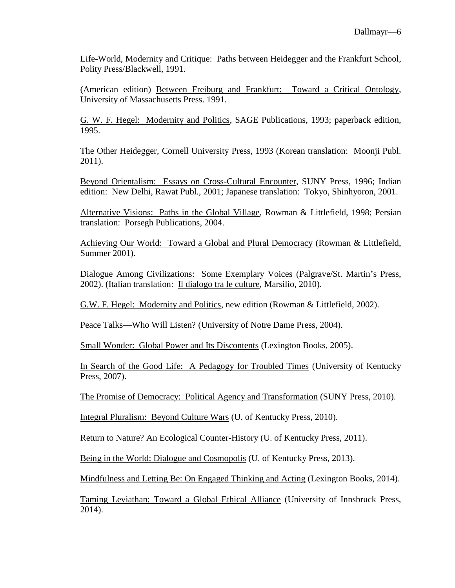Life-World, Modernity and Critique: Paths between Heidegger and the Frankfurt School, Polity Press/Blackwell, 1991.

(American edition) Between Freiburg and Frankfurt: Toward a Critical Ontology, University of Massachusetts Press. 1991.

G. W. F. Hegel: Modernity and Politics, SAGE Publications, 1993; paperback edition, 1995.

The Other Heidegger, Cornell University Press, 1993 (Korean translation: Moonji Publ. 2011).

Beyond Orientalism: Essays on Cross-Cultural Encounter, SUNY Press, 1996; Indian edition: New Delhi, Rawat Publ., 2001; Japanese translation: Tokyo, Shinhyoron, 2001.

Alternative Visions: Paths in the Global Village, Rowman & Littlefield, 1998; Persian translation: Porsegh Publications, 2004.

Achieving Our World: Toward a Global and Plural Democracy (Rowman & Littlefield, Summer 2001).

Dialogue Among Civilizations: Some Exemplary Voices (Palgrave/St. Martin's Press, 2002). (Italian translation: Il dialogo tra le culture, Marsilio, 2010).

G.W. F. Hegel: Modernity and Politics, new edition (Rowman & Littlefield, 2002).

Peace Talks—Who Will Listen? (University of Notre Dame Press, 2004).

Small Wonder: Global Power and Its Discontents (Lexington Books, 2005).

In Search of the Good Life: A Pedagogy for Troubled Times (University of Kentucky Press, 2007).

The Promise of Democracy: Political Agency and Transformation (SUNY Press, 2010).

Integral Pluralism: Beyond Culture Wars (U. of Kentucky Press, 2010).

Return to Nature? An Ecological Counter-History (U. of Kentucky Press, 2011).

Being in the World: Dialogue and Cosmopolis (U. of Kentucky Press, 2013).

Mindfulness and Letting Be: On Engaged Thinking and Acting (Lexington Books, 2014).

Taming Leviathan: Toward a Global Ethical Alliance (University of Innsbruck Press, 2014).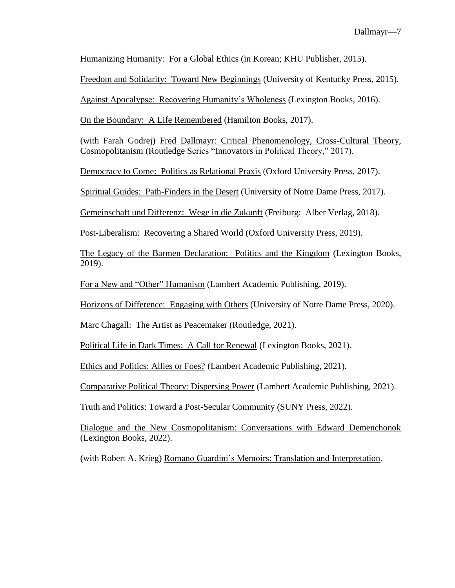Humanizing Humanity: For a Global Ethics (in Korean; KHU Publisher, 2015).

Freedom and Solidarity: Toward New Beginnings (University of Kentucky Press, 2015).

Against Apocalypse: Recovering Humanity's Wholeness (Lexington Books, 2016).

On the Boundary: A Life Remembered (Hamilton Books, 2017).

(with Farah Godrej) Fred Dallmayr: Critical Phenomenology, Cross-Cultural Theory, Cosmopolitanism (Routledge Series "Innovators in Political Theory," 2017).

Democracy to Come: Politics as Relational Praxis (Oxford University Press, 2017).

Spiritual Guides: Path-Finders in the Desert (University of Notre Dame Press, 2017).

Gemeinschaft und Differenz: Wege in die Zukunft (Freiburg: Alber Verlag, 2018).

Post-Liberalism: Recovering a Shared World (Oxford University Press, 2019).

The Legacy of the Barmen Declaration: Politics and the Kingdom (Lexington Books, 2019).

For a New and "Other" Humanism (Lambert Academic Publishing, 2019).

Horizons of Difference: Engaging with Others (University of Notre Dame Press, 2020).

Marc Chagall: The Artist as Peacemaker (Routledge, 2021).

Political Life in Dark Times: A Call for Renewal (Lexington Books, 2021).

Ethics and Politics: Allies or Foes? (Lambert Academic Publishing, 2021).

Comparative Political Theory: Dispersing Power (Lambert Academic Publishing, 2021).

Truth and Politics: Toward a Post-Secular Community (SUNY Press, 2022).

Dialogue and the New Cosmopolitanism: Conversations with Edward Demenchonok (Lexington Books, 2022).

(with Robert A. Krieg) Romano Guardini's Memoirs: Translation and Interpretation.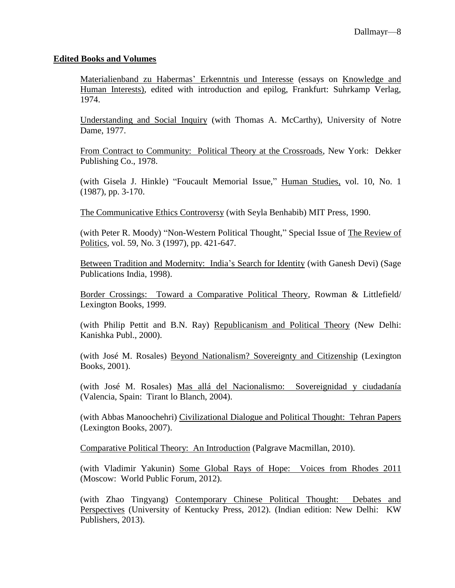#### **Edited Books and Volumes**

Materialienband zu Habermas' Erkenntnis und Interesse (essays on Knowledge and Human Interests), edited with introduction and epilog, Frankfurt: Suhrkamp Verlag, 1974.

Understanding and Social Inquiry (with Thomas A. McCarthy), University of Notre Dame, 1977.

From Contract to Community: Political Theory at the Crossroads, New York: Dekker Publishing Co., 1978.

(with Gisela J. Hinkle) "Foucault Memorial Issue," Human Studies, vol. 10, No. 1 (1987), pp. 3-170.

The Communicative Ethics Controversy (with Seyla Benhabib) MIT Press, 1990.

(with Peter R. Moody) "Non-Western Political Thought," Special Issue of The Review of Politics, vol. 59, No. 3 (1997), pp. 421-647.

Between Tradition and Modernity: India's Search for Identity (with Ganesh Devi) (Sage Publications India, 1998).

Border Crossings: Toward a Comparative Political Theory, Rowman & Littlefield/ Lexington Books, 1999.

(with Philip Pettit and B.N. Ray) Republicanism and Political Theory (New Delhi: Kanishka Publ., 2000).

(with José M. Rosales) Beyond Nationalism? Sovereignty and Citizenship (Lexington Books, 2001).

(with José M. Rosales) Mas allá del Nacionalismo: Sovereignidad y ciudadanía (Valencia, Spain: Tirant lo Blanch, 2004).

(with Abbas Manoochehri) Civilizational Dialogue and Political Thought: Tehran Papers (Lexington Books, 2007).

Comparative Political Theory: An Introduction (Palgrave Macmillan, 2010).

(with Vladimir Yakunin) Some Global Rays of Hope: Voices from Rhodes 2011 (Moscow: World Public Forum, 2012).

(with Zhao Tingyang) Contemporary Chinese Political Thought: Debates and Perspectives (University of Kentucky Press, 2012). (Indian edition: New Delhi: KW Publishers, 2013).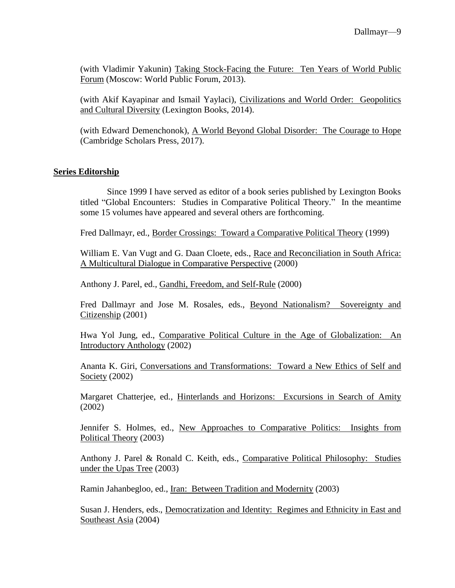(with Vladimir Yakunin) Taking Stock-Facing the Future: Ten Years of World Public Forum (Moscow: World Public Forum, 2013).

(with Akif Kayapinar and Ismail Yaylaci), Civilizations and World Order: Geopolitics and Cultural Diversity (Lexington Books, 2014).

(with Edward Demenchonok), A World Beyond Global Disorder: The Courage to Hope (Cambridge Scholars Press, 2017).

## **Series Editorship**

Since 1999 I have served as editor of a book series published by Lexington Books titled "Global Encounters: Studies in Comparative Political Theory." In the meantime some 15 volumes have appeared and several others are forthcoming.

Fred Dallmayr, ed., Border Crossings: Toward a Comparative Political Theory (1999)

William E. Van Vugt and G. Daan Cloete, eds., Race and Reconciliation in South Africa: A Multicultural Dialogue in Comparative Perspective (2000)

Anthony J. Parel, ed., Gandhi, Freedom, and Self-Rule (2000)

Fred Dallmayr and Jose M. Rosales, eds., Beyond Nationalism? Sovereignty and Citizenship (2001)

Hwa Yol Jung, ed., Comparative Political Culture in the Age of Globalization: An Introductory Anthology (2002)

Ananta K. Giri, Conversations and Transformations: Toward a New Ethics of Self and Society (2002)

Margaret Chatterjee, ed., Hinterlands and Horizons: Excursions in Search of Amity (2002)

Jennifer S. Holmes, ed., New Approaches to Comparative Politics: Insights from Political Theory (2003)

Anthony J. Parel & Ronald C. Keith, eds., Comparative Political Philosophy: Studies under the Upas Tree (2003)

Ramin Jahanbegloo, ed., Iran: Between Tradition and Modernity (2003)

Susan J. Henders, eds., Democratization and Identity: Regimes and Ethnicity in East and Southeast Asia (2004)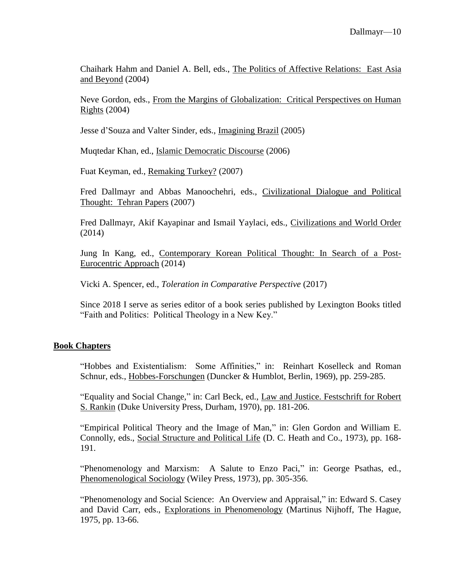Chaihark Hahm and Daniel A. Bell, eds., The Politics of Affective Relations: East Asia and Beyond (2004)

Neve Gordon, eds., From the Margins of Globalization: Critical Perspectives on Human  $RightS (2004)$ 

Jesse d'Souza and Valter Sinder, eds., Imagining Brazil (2005)

Muqtedar Khan, ed., Islamic Democratic Discourse (2006)

Fuat Keyman, ed., Remaking Turkey? (2007)

Fred Dallmayr and Abbas Manoochehri, eds., Civilizational Dialogue and Political Thought: Tehran Papers (2007)

Fred Dallmayr, Akif Kayapinar and Ismail Yaylaci, eds., Civilizations and World Order (2014)

Jung In Kang, ed., Contemporary Korean Political Thought: In Search of a Post-Eurocentric Approach (2014)

Vicki A. Spencer, ed., *Toleration in Comparative Perspective* (2017)

Since 2018 I serve as series editor of a book series published by Lexington Books titled "Faith and Politics: Political Theology in a New Key."

## **Book Chapters**

"Hobbes and Existentialism: Some Affinities," in: Reinhart Koselleck and Roman Schnur, eds., Hobbes-Forschungen (Duncker & Humblot, Berlin, 1969), pp. 259-285.

"Equality and Social Change," in: Carl Beck, ed., Law and Justice. Festschrift for Robert S. Rankin (Duke University Press, Durham, 1970), pp. 181-206.

"Empirical Political Theory and the Image of Man," in: Glen Gordon and William E. Connolly, eds., Social Structure and Political Life (D. C. Heath and Co., 1973), pp. 168- 191.

"Phenomenology and Marxism: A Salute to Enzo Paci," in: George Psathas, ed., Phenomenological Sociology (Wiley Press, 1973), pp. 305-356.

"Phenomenology and Social Science: An Overview and Appraisal," in: Edward S. Casey and David Carr, eds., Explorations in Phenomenology (Martinus Nijhoff, The Hague, 1975, pp. 13-66.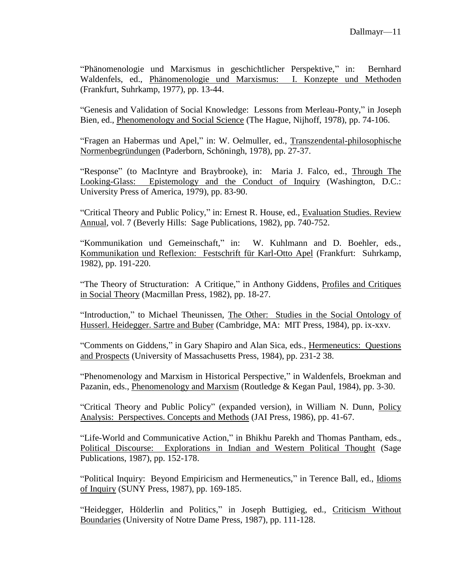"Phänomenologie und Marxismus in geschichtlicher Perspektive," in: Bernhard Waldenfels, ed., Phänomenologie und Marxismus: I. Konzepte und Methoden (Frankfurt, Suhrkamp, 1977), pp. 13-44.

"Genesis and Validation of Social Knowledge: Lessons from Merleau-Ponty," in Joseph Bien, ed., Phenomenology and Social Science (The Hague, Nijhoff, 1978), pp. 74-106.

"Fragen an Habermas und Apel," in: W. Oelmuller, ed., Transzendental-philosophische Normenbegründungen (Paderborn, Schöningh, 1978), pp. 27-37.

"Response" (to MacIntyre and Braybrooke), in: Maria J. Falco, ed., Through The Looking-Glass: Epistemology and the Conduct of Inquiry (Washington, D.C.: University Press of America, 1979), pp. 83-90.

"Critical Theory and Public Policy," in: Ernest R. House, ed., Evaluation Studies. Review Annual, vol. 7 (Beverly Hills: Sage Publications, 1982), pp. 740-752.

"Kommunikation und Gemeinschaft," in: W. Kuhlmann and D. Boehler, eds., Kommunikation und Reflexion: Festschrift für Karl-Otto Apel (Frankfurt: Suhrkamp, 1982), pp. 191-220.

"The Theory of Structuration: A Critique," in Anthony Giddens, Profiles and Critiques in Social Theory (Macmillan Press, 1982), pp. 18-27.

"Introduction," to Michael Theunissen, The Other: Studies in the Social Ontology of Husserl. Heidegger. Sartre and Buber (Cambridge, MA: MIT Press, 1984), pp. ix-xxv.

"Comments on Giddens," in Gary Shapiro and Alan Sica, eds., Hermeneutics: Questions and Prospects (University of Massachusetts Press, 1984), pp. 231-2 38.

"Phenomenology and Marxism in Historical Perspective," in Waldenfels, Broekman and Pazanin, eds., Phenomenology and Marxism (Routledge & Kegan Paul, 1984), pp. 3-30.

"Critical Theory and Public Policy" (expanded version), in William N. Dunn, Policy Analysis: Perspectives. Concepts and Methods (JAI Press, 1986), pp. 41-67.

"Life-World and Communicative Action," in Bhikhu Parekh and Thomas Pantham, eds., Political Discourse: Explorations in Indian and Western Political Thought (Sage Publications, 1987), pp. 152-178.

"Political Inquiry: Beyond Empiricism and Hermeneutics," in Terence Ball, ed., Idioms of Inquiry (SUNY Press, 1987), pp. 169-185.

"Heidegger, Hölderlin and Politics," in Joseph Buttigieg, ed., Criticism Without Boundaries (University of Notre Dame Press, 1987), pp. 111-128.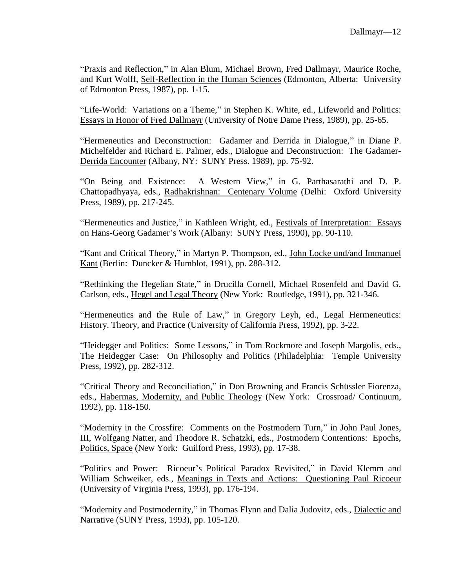"Praxis and Reflection," in Alan Blum, Michael Brown, Fred Dallmayr, Maurice Roche, and Kurt Wolff, Self-Reflection in the Human Sciences (Edmonton, Alberta: University of Edmonton Press, 1987), pp. 1-15.

"Life-World: Variations on a Theme," in Stephen K. White, ed., Lifeworld and Politics: Essays in Honor of Fred Dallmayr (University of Notre Dame Press, 1989), pp. 25-65.

"Hermeneutics and Deconstruction: Gadamer and Derrida in Dialogue," in Diane P. Michelfelder and Richard E. Palmer, eds., Dialogue and Deconstruction: The Gadamer-Derrida Encounter (Albany, NY: SUNY Press. 1989), pp. 75-92.

"On Being and Existence: A Western View," in G. Parthasarathi and D. P. Chattopadhyaya, eds., Radhakrishnan: Centenary Volume (Delhi: Oxford University Press, 1989), pp. 217-245.

"Hermeneutics and Justice," in Kathleen Wright, ed., Festivals of Interpretation: Essays on Hans-Georg Gadamer's Work (Albany: SUNY Press, 1990), pp. 90-110.

"Kant and Critical Theory," in Martyn P. Thompson, ed., John Locke und/and Immanuel Kant (Berlin: Duncker & Humblot, 1991), pp. 288-312.

"Rethinking the Hegelian State," in Drucilla Cornell, Michael Rosenfeld and David G. Carlson, eds., Hegel and Legal Theory (New York: Routledge, 1991), pp. 321-346.

"Hermeneutics and the Rule of Law," in Gregory Leyh, ed., Legal Hermeneutics: History. Theory, and Practice (University of California Press, 1992), pp. 3-22.

"Heidegger and Politics: Some Lessons," in Tom Rockmore and Joseph Margolis, eds., The Heidegger Case: On Philosophy and Politics (Philadelphia: Temple University Press, 1992), pp. 282-312.

"Critical Theory and Reconciliation," in Don Browning and Francis Schüssler Fiorenza, eds., Habermas, Modernity, and Public Theology (New York: Crossroad/ Continuum, 1992), pp. 118-150.

"Modernity in the Crossfire: Comments on the Postmodern Turn," in John Paul Jones, III, Wolfgang Natter, and Theodore R. Schatzki, eds., Postmodern Contentions: Epochs, Politics, Space (New York: Guilford Press, 1993), pp. 17-38.

"Politics and Power: Ricoeur's Political Paradox Revisited," in David Klemm and William Schweiker, eds., Meanings in Texts and Actions: Questioning Paul Ricoeur (University of Virginia Press, 1993), pp. 176-194.

"Modernity and Postmodernity," in Thomas Flynn and Dalia Judovitz, eds., Dialectic and Narrative (SUNY Press, 1993), pp. 105-120.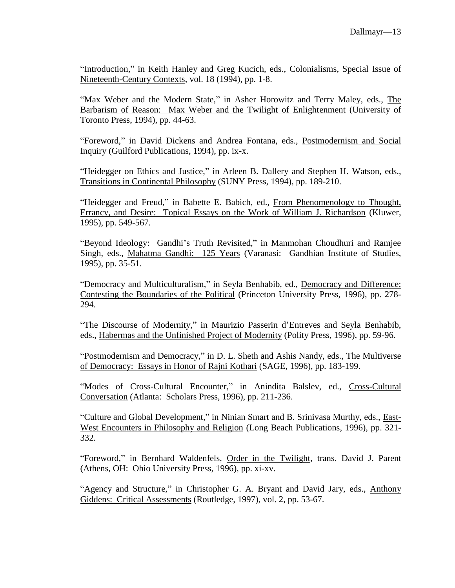"Introduction," in Keith Hanley and Greg Kucich, eds., Colonialisms, Special Issue of Nineteenth-Century Contexts, vol. 18 (1994), pp. 1-8.

"Max Weber and the Modern State," in Asher Horowitz and Terry Maley, eds., The Barbarism of Reason: Max Weber and the Twilight of Enlightenment (University of Toronto Press, 1994), pp. 44-63.

"Foreword," in David Dickens and Andrea Fontana, eds., Postmodernism and Social Inquiry (Guilford Publications, 1994), pp. ix-x.

"Heidegger on Ethics and Justice," in Arleen B. Dallery and Stephen H. Watson, eds., Transitions in Continental Philosophy (SUNY Press, 1994), pp. 189-210.

"Heidegger and Freud," in Babette E. Babich, ed., From Phenomenology to Thought, Errancy, and Desire: Topical Essays on the Work of William J. Richardson (Kluwer, 1995), pp. 549-567.

"Beyond Ideology: Gandhi's Truth Revisited," in Manmohan Choudhuri and Ramjee Singh, eds., Mahatma Gandhi: 125 Years (Varanasi: Gandhian Institute of Studies, 1995), pp. 35-51.

"Democracy and Multiculturalism," in Seyla Benhabib, ed., Democracy and Difference: Contesting the Boundaries of the Political (Princeton University Press, 1996), pp. 278- 294.

"The Discourse of Modernity," in Maurizio Passerin d'Entreves and Seyla Benhabib, eds., Habermas and the Unfinished Project of Modernity (Polity Press, 1996), pp. 59-96.

"Postmodernism and Democracy," in D. L. Sheth and Ashis Nandy, eds., The Multiverse of Democracy: Essays in Honor of Rajni Kothari (SAGE, 1996), pp. 183-199.

"Modes of Cross-Cultural Encounter," in Anindita Balslev, ed., Cross-Cultural Conversation (Atlanta: Scholars Press, 1996), pp. 211-236.

"Culture and Global Development," in Ninian Smart and B. Srinivasa Murthy, eds., East-West Encounters in Philosophy and Religion (Long Beach Publications, 1996), pp. 321- 332.

"Foreword," in Bernhard Waldenfels, Order in the Twilight, trans. David J. Parent (Athens, OH: Ohio University Press, 1996), pp. xi-xv.

"Agency and Structure," in Christopher G. A. Bryant and David Jary, eds., Anthony Giddens: Critical Assessments (Routledge, 1997), vol. 2, pp. 53-67.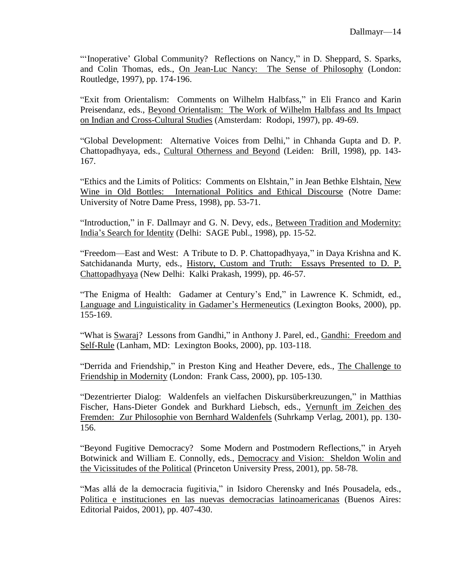"'Inoperative' Global Community? Reflections on Nancy," in D. Sheppard, S. Sparks, and Colin Thomas, eds., On Jean-Luc Nancy: The Sense of Philosophy (London: Routledge, 1997), pp. 174-196.

"Exit from Orientalism: Comments on Wilhelm Halbfass," in Eli Franco and Karin Preisendanz, eds., Beyond Orientalism: The Work of Wilhelm Halbfass and Its Impact on Indian and Cross-Cultural Studies (Amsterdam: Rodopi, 1997), pp. 49-69.

"Global Development: Alternative Voices from Delhi," in Chhanda Gupta and D. P. Chattopadhyaya, eds., Cultural Otherness and Beyond (Leiden: Brill, 1998), pp. 143- 167.

"Ethics and the Limits of Politics: Comments on Elshtain," in Jean Bethke Elshtain, New Wine in Old Bottles: International Politics and Ethical Discourse (Notre Dame: University of Notre Dame Press, 1998), pp. 53-71.

"Introduction," in F. Dallmayr and G. N. Devy, eds., Between Tradition and Modernity: India's Search for Identity (Delhi: SAGE Publ., 1998), pp. 15-52.

"Freedom—East and West: A Tribute to D. P. Chattopadhyaya," in Daya Krishna and K. Satchidananda Murty, eds., History, Custom and Truth: Essays Presented to D. P. Chattopadhyaya (New Delhi: Kalki Prakash, 1999), pp. 46-57.

"The Enigma of Health: Gadamer at Century's End," in Lawrence K. Schmidt, ed., Language and Linguisticality in Gadamer's Hermeneutics (Lexington Books, 2000), pp. 155-169.

"What is Swaraj? Lessons from Gandhi," in Anthony J. Parel, ed., Gandhi: Freedom and Self-Rule (Lanham, MD: Lexington Books, 2000), pp. 103-118.

"Derrida and Friendship," in Preston King and Heather Devere, eds., The Challenge to Friendship in Modernity (London: Frank Cass, 2000), pp. 105-130.

"Dezentrierter Dialog: Waldenfels an vielfachen Diskursüberkreuzungen," in Matthias Fischer, Hans-Dieter Gondek and Burkhard Liebsch, eds., Vernunft im Zeichen des Fremden: Zur Philosophie von Bernhard Waldenfels (Suhrkamp Verlag, 2001), pp. 130- 156.

"Beyond Fugitive Democracy? Some Modern and Postmodern Reflections," in Aryeh Botwinick and William E. Connolly, eds., Democracy and Vision: Sheldon Wolin and the Vicissitudes of the Political (Princeton University Press, 2001), pp. 58-78.

"Mas allá de la democracia fugitivia," in Isidoro Cherensky and Inés Pousadela, eds., Politica e instituciones en las nuevas democracias latinoamericanas (Buenos Aires: Editorial Paidos, 2001), pp. 407-430.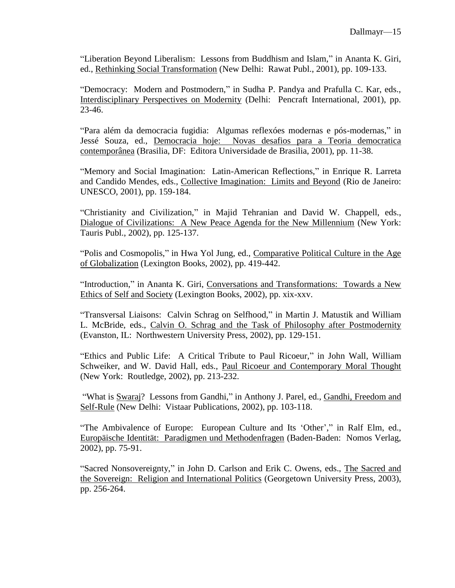"Liberation Beyond Liberalism: Lessons from Buddhism and Islam," in Ananta K. Giri, ed., Rethinking Social Transformation (New Delhi: Rawat Publ., 2001), pp. 109-133.

"Democracy: Modern and Postmodern," in Sudha P. Pandya and Prafulla C. Kar, eds., Interdisciplinary Perspectives on Modernity (Delhi: Pencraft International, 2001), pp. 23-46.

"Para além da democracia fugidia: Algumas reflexóes modernas e pós-modernas," in Jessé Souza, ed., Democracia hoje: Novas desafios para a Teoria democratica contemporânea (Brasilia, DF: Editora Universidade de Brasilia, 2001), pp. 11-38.

"Memory and Social Imagination: Latin-American Reflections," in Enrique R. Larreta and Candido Mendes, eds., Collective Imagination: Limits and Beyond (Rio de Janeiro: UNESCO, 2001), pp. 159-184.

"Christianity and Civilization," in Majid Tehranian and David W. Chappell, eds., Dialogue of Civilizations: A New Peace Agenda for the New Millennium (New York: Tauris Publ., 2002), pp. 125-137.

"Polis and Cosmopolis," in Hwa Yol Jung, ed., Comparative Political Culture in the Age of Globalization (Lexington Books, 2002), pp. 419-442.

"Introduction," in Ananta K. Giri, Conversations and Transformations: Towards a New Ethics of Self and Society (Lexington Books, 2002), pp. xix-xxv.

"Transversal Liaisons: Calvin Schrag on Selfhood," in Martin J. Matustik and William L. McBride, eds., Calvin O. Schrag and the Task of Philosophy after Postmodernity (Evanston, IL: Northwestern University Press, 2002), pp. 129-151.

"Ethics and Public Life: A Critical Tribute to Paul Ricoeur," in John Wall, William Schweiker, and W. David Hall, eds., Paul Ricoeur and Contemporary Moral Thought (New York: Routledge, 2002), pp. 213-232.

"What is Swaraj? Lessons from Gandhi," in Anthony J. Parel, ed., Gandhi, Freedom and Self-Rule (New Delhi: Vistaar Publications, 2002), pp. 103-118.

"The Ambivalence of Europe: European Culture and Its 'Other'," in Ralf Elm, ed., Europäische Identität: Paradigmen und Methodenfragen (Baden-Baden: Nomos Verlag, 2002), pp. 75-91.

"Sacred Nonsovereignty," in John D. Carlson and Erik C. Owens, eds., The Sacred and the Sovereign: Religion and International Politics (Georgetown University Press, 2003), pp. 256-264.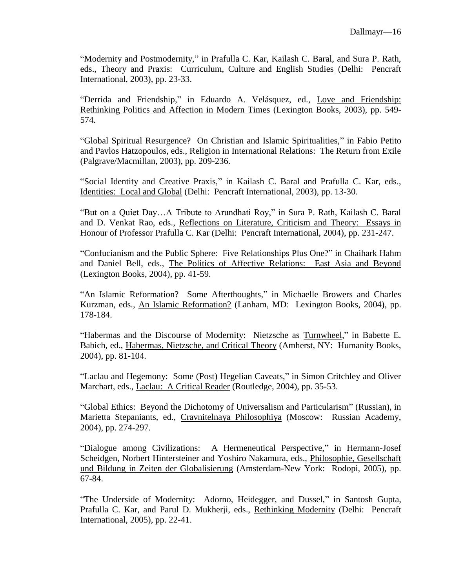"Modernity and Postmodernity," in Prafulla C. Kar, Kailash C. Baral, and Sura P. Rath, eds., Theory and Praxis: Curriculum, Culture and English Studies (Delhi: Pencraft International, 2003), pp. 23-33.

"Derrida and Friendship," in Eduardo A. Velásquez, ed., Love and Friendship: Rethinking Politics and Affection in Modern Times (Lexington Books, 2003), pp. 549- 574.

"Global Spiritual Resurgence? On Christian and Islamic Spiritualities," in Fabio Petito and Pavlos Hatzopoulos, eds., Religion in International Relations: The Return from Exile (Palgrave/Macmillan, 2003), pp. 209-236.

"Social Identity and Creative Praxis," in Kailash C. Baral and Prafulla C. Kar, eds., Identities: Local and Global (Delhi: Pencraft International, 2003), pp. 13-30.

"But on a Quiet Day…A Tribute to Arundhati Roy," in Sura P. Rath, Kailash C. Baral and D. Venkat Rao, eds., Reflections on Literature, Criticism and Theory: Essays in Honour of Professor Prafulla C. Kar (Delhi: Pencraft International, 2004), pp. 231-247.

"Confucianism and the Public Sphere: Five Relationships Plus One?" in Chaihark Hahm and Daniel Bell, eds., The Politics of Affective Relations: East Asia and Beyond (Lexington Books, 2004), pp. 41-59.

"An Islamic Reformation? Some Afterthoughts," in Michaelle Browers and Charles Kurzman, eds., An Islamic Reformation? (Lanham, MD: Lexington Books, 2004), pp. 178-184.

"Habermas and the Discourse of Modernity: Nietzsche as Turnwheel," in Babette E. Babich, ed., Habermas, Nietzsche, and Critical Theory (Amherst, NY: Humanity Books, 2004), pp. 81-104.

"Laclau and Hegemony: Some (Post) Hegelian Caveats," in Simon Critchley and Oliver Marchart, eds., Laclau: A Critical Reader (Routledge, 2004), pp. 35-53.

"Global Ethics: Beyond the Dichotomy of Universalism and Particularism" (Russian), in Marietta Stepaniants, ed., Cravnitelnaya Philosophiya (Moscow: Russian Academy, 2004), pp. 274-297.

"Dialogue among Civilizations: A Hermeneutical Perspective," in Hermann-Josef Scheidgen, Norbert Hintersteiner and Yoshiro Nakamura, eds., Philosophie, Gesellschaft und Bildung in Zeiten der Globalisierung (Amsterdam-New York: Rodopi, 2005), pp. 67-84.

"The Underside of Modernity: Adorno, Heidegger, and Dussel," in Santosh Gupta, Prafulla C. Kar, and Parul D. Mukherji, eds., Rethinking Modernity (Delhi: Pencraft International, 2005), pp. 22-41.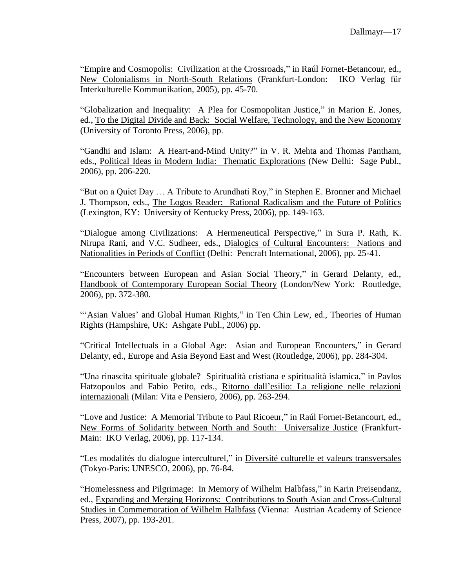"Empire and Cosmopolis: Civilization at the Crossroads," in Raúl Fornet-Betancour, ed., New Colonialisms in North-South Relations (Frankfurt-London: IKO Verlag für Interkulturelle Kommunikation, 2005), pp. 45-70.

"Globalization and Inequality: A Plea for Cosmopolitan Justice," in Marion E. Jones, ed., To the Digital Divide and Back: Social Welfare, Technology, and the New Economy (University of Toronto Press, 2006), pp.

"Gandhi and Islam: A Heart-and-Mind Unity?" in V. R. Mehta and Thomas Pantham, eds., Political Ideas in Modern India: Thematic Explorations (New Delhi: Sage Publ., 2006), pp. 206-220.

"But on a Quiet Day … A Tribute to Arundhati Roy," in Stephen E. Bronner and Michael J. Thompson, eds., The Logos Reader: Rational Radicalism and the Future of Politics (Lexington, KY: University of Kentucky Press, 2006), pp. 149-163.

"Dialogue among Civilizations: A Hermeneutical Perspective," in Sura P. Rath, K. Nirupa Rani, and V.C. Sudheer, eds., Dialogics of Cultural Encounters: Nations and Nationalities in Periods of Conflict (Delhi: Pencraft International, 2006), pp. 25-41.

"Encounters between European and Asian Social Theory," in Gerard Delanty, ed., Handbook of Contemporary European Social Theory (London/New York: Routledge, 2006), pp. 372-380.

"'Asian Values' and Global Human Rights," in Ten Chin Lew, ed., Theories of Human Rights (Hampshire, UK: Ashgate Publ., 2006) pp.

"Critical Intellectuals in a Global Age: Asian and European Encounters," in Gerard Delanty, ed., Europe and Asia Beyond East and West (Routledge, 2006), pp. 284-304.

"Una rinascita spirituale globale? Spiritualità cristiana e spiritualità islamica," in Pavlos Hatzopoulos and Fabio Petito, eds., Ritorno dall'esilio: La religione nelle relazioni internazionali (Milan: Vita e Pensiero, 2006), pp. 263-294.

"Love and Justice: A Memorial Tribute to Paul Ricoeur," in Raúl Fornet-Betancourt, ed., New Forms of Solidarity between North and South: Universalize Justice (Frankfurt-Main: IKO Verlag, 2006), pp. 117-134.

"Les modalités du dialogue interculturel," in Diversité culturelle et valeurs transversales (Tokyo-Paris: UNESCO, 2006), pp. 76-84.

"Homelessness and Pilgrimage: In Memory of Wilhelm Halbfass," in Karin Preisendanz, ed., Expanding and Merging Horizons: Contributions to South Asian and Cross-Cultural Studies in Commemoration of Wilhelm Halbfass (Vienna: Austrian Academy of Science Press, 2007), pp. 193-201.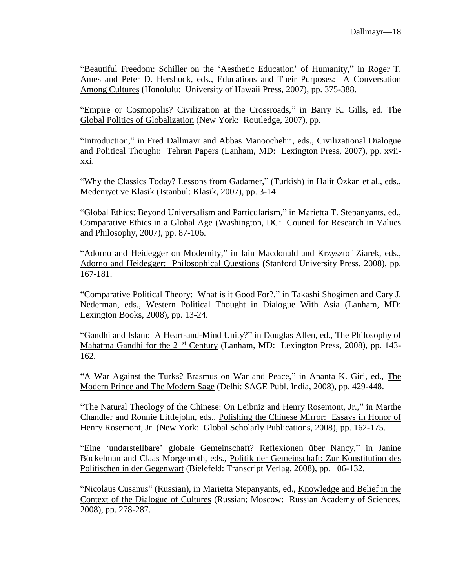"Beautiful Freedom: Schiller on the 'Aesthetic Education' of Humanity," in Roger T. Ames and Peter D. Hershock, eds., Educations and Their Purposes: A Conversation Among Cultures (Honolulu: University of Hawaii Press, 2007), pp. 375-388.

"Empire or Cosmopolis? Civilization at the Crossroads," in Barry K. Gills, ed. The Global Politics of Globalization (New York: Routledge, 2007), pp.

"Introduction," in Fred Dallmayr and Abbas Manoochehri, eds., Civilizational Dialogue and Political Thought: Tehran Papers (Lanham, MD: Lexington Press, 2007), pp. xviixxi.

"Why the Classics Today? Lessons from Gadamer," (Turkish) in Halit Özkan et al., eds., Medeniyet ve Klasik (Istanbul: Klasik, 2007), pp. 3-14.

"Global Ethics: Beyond Universalism and Particularism," in Marietta T. Stepanyants, ed., Comparative Ethics in a Global Age (Washington, DC: Council for Research in Values and Philosophy, 2007), pp. 87-106.

"Adorno and Heidegger on Modernity," in Iain Macdonald and Krzysztof Ziarek, eds., Adorno and Heidegger: Philosophical Questions (Stanford University Press, 2008), pp. 167-181.

"Comparative Political Theory: What is it Good For?," in Takashi Shogimen and Cary J. Nederman, eds., Western Political Thought in Dialogue With Asia (Lanham, MD: Lexington Books, 2008), pp. 13-24.

"Gandhi and Islam: A Heart-and-Mind Unity?" in Douglas Allen, ed., The Philosophy of Mahatma Gandhi for the 21<sup>st</sup> Century (Lanham, MD: Lexington Press, 2008), pp. 143-162.

"A War Against the Turks? Erasmus on War and Peace," in Ananta K. Giri, ed., The Modern Prince and The Modern Sage (Delhi: SAGE Publ. India, 2008), pp. 429-448.

"The Natural Theology of the Chinese: On Leibniz and Henry Rosemont, Jr.," in Marthe Chandler and Ronnie Littlejohn, eds., Polishing the Chinese Mirror: Essays in Honor of Henry Rosemont, Jr. (New York: Global Scholarly Publications, 2008), pp. 162-175.

"Eine 'undarstellbare' globale Gemeinschaft? Reflexionen über Nancy," in Janine Böckelman and Claas Morgenroth, eds., Politik der Gemeinschaft: Zur Konstitution des Politischen in der Gegenwart (Bielefeld: Transcript Verlag, 2008), pp. 106-132.

"Nicolaus Cusanus" (Russian), in Marietta Stepanyants, ed., Knowledge and Belief in the Context of the Dialogue of Cultures (Russian; Moscow: Russian Academy of Sciences, 2008), pp. 278-287.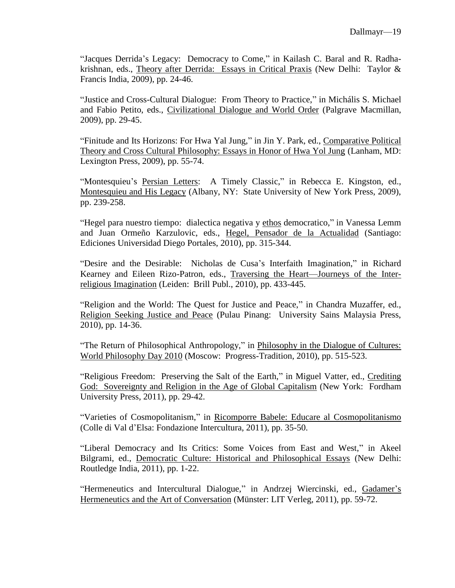"Jacques Derrida's Legacy: Democracy to Come," in Kailash C. Baral and R. Radhakrishnan, eds., Theory after Derrida: Essays in Critical Praxis (New Delhi: Taylor & Francis India, 2009), pp. 24-46.

"Justice and Cross-Cultural Dialogue: From Theory to Practice," in Michális S. Michael and Fabio Petito, eds., Civilizational Dialogue and World Order (Palgrave Macmillan, 2009), pp. 29-45.

"Finitude and Its Horizons: For Hwa Yal Jung," in Jin Y. Park, ed., Comparative Political Theory and Cross Cultural Philosophy: Essays in Honor of Hwa Yol Jung (Lanham, MD: Lexington Press, 2009), pp. 55-74.

"Montesquieu's Persian Letters: A Timely Classic," in Rebecca E. Kingston, ed., Montesquieu and His Legacy (Albany, NY: State University of New York Press, 2009), pp. 239-258.

"Hegel para nuestro tiempo: dialectica negativa y ethos democratico," in Vanessa Lemm and Juan Ormeño Karzulovic, eds., Hegel, Pensador de la Actualidad (Santiago: Ediciones Universidad Diego Portales, 2010), pp. 315-344.

"Desire and the Desirable: Nicholas de Cusa's Interfaith Imagination," in Richard Kearney and Eileen Rizo-Patron, eds., Traversing the Heart—Journeys of the Interreligious Imagination (Leiden: Brill Publ., 2010), pp. 433-445.

"Religion and the World: The Quest for Justice and Peace," in Chandra Muzaffer, ed., Religion Seeking Justice and Peace (Pulau Pinang: University Sains Malaysia Press, 2010), pp. 14-36.

"The Return of Philosophical Anthropology," in Philosophy in the Dialogue of Cultures: World Philosophy Day 2010 (Moscow: Progress-Tradition, 2010), pp. 515-523.

"Religious Freedom: Preserving the Salt of the Earth," in Miguel Vatter, ed., Crediting God: Sovereignty and Religion in the Age of Global Capitalism (New York: Fordham University Press, 2011), pp. 29-42.

"Varieties of Cosmopolitanism," in Ricomporre Babele: Educare al Cosmopolitanismo (Colle di Val d'Elsa: Fondazione Intercultura, 2011), pp. 35-50.

"Liberal Democracy and Its Critics: Some Voices from East and West," in Akeel Bilgrami, ed., Democratic Culture: Historical and Philosophical Essays (New Delhi: Routledge India, 2011), pp. 1-22.

"Hermeneutics and Intercultural Dialogue," in Andrzej Wiercinski, ed., Gadamer's Hermeneutics and the Art of Conversation (Münster: LIT Verleg, 2011), pp. 59-72.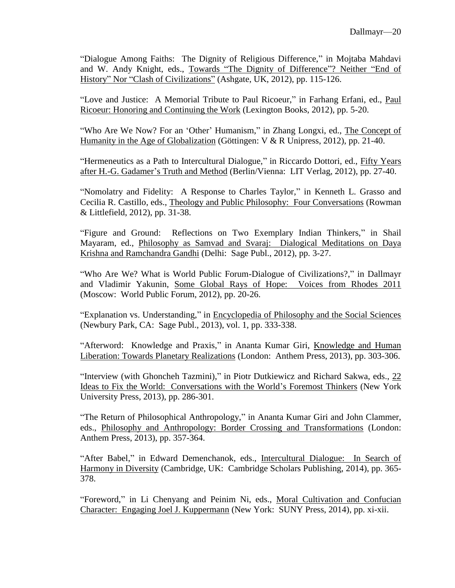"Dialogue Among Faiths: The Dignity of Religious Difference," in Mojtaba Mahdavi and W. Andy Knight, eds., Towards "The Dignity of Difference"? Neither "End of History" Nor "Clash of Civilizations" (Ashgate, UK, 2012), pp. 115-126.

"Love and Justice: A Memorial Tribute to Paul Ricoeur," in Farhang Erfani, ed., Paul Ricoeur: Honoring and Continuing the Work (Lexington Books, 2012), pp. 5-20.

"Who Are We Now? For an 'Other' Humanism," in Zhang Longxi, ed., The Concept of Humanity in the Age of Globalization (Göttingen: V & R Unipress, 2012), pp. 21-40.

"Hermeneutics as a Path to Intercultural Dialogue," in Riccardo Dottori, ed., Fifty Years after H.-G. Gadamer's Truth and Method (Berlin/Vienna: LIT Verlag, 2012), pp. 27-40.

"Nomolatry and Fidelity: A Response to Charles Taylor," in Kenneth L. Grasso and Cecilia R. Castillo, eds., Theology and Public Philosophy: Four Conversations (Rowman & Littlefield, 2012), pp. 31-38.

"Figure and Ground: Reflections on Two Exemplary Indian Thinkers," in Shail Mayaram, ed., Philosophy as Samvad and Svaraj: Dialogical Meditations on Daya Krishna and Ramchandra Gandhi (Delhi: Sage Publ., 2012), pp. 3-27.

"Who Are We? What is World Public Forum-Dialogue of Civilizations?," in Dallmayr and Vladimir Yakunin, Some Global Rays of Hope: Voices from Rhodes 2011 (Moscow: World Public Forum, 2012), pp. 20-26.

"Explanation vs. Understanding," in Encyclopedia of Philosophy and the Social Sciences (Newbury Park, CA: Sage Publ., 2013), vol. 1, pp. 333-338.

"Afterword: Knowledge and Praxis," in Ananta Kumar Giri, Knowledge and Human Liberation: Towards Planetary Realizations (London: Anthem Press, 2013), pp. 303-306.

"Interview (with Ghoncheh Tazmini)," in Piotr Dutkiewicz and Richard Sakwa, eds., 22 Ideas to Fix the World: Conversations with the World's Foremost Thinkers (New York University Press, 2013), pp. 286-301.

"The Return of Philosophical Anthropology," in Ananta Kumar Giri and John Clammer, eds., Philosophy and Anthropology: Border Crossing and Transformations (London: Anthem Press, 2013), pp. 357-364.

"After Babel," in Edward Demenchanok, eds., Intercultural Dialogue: In Search of Harmony in Diversity (Cambridge, UK: Cambridge Scholars Publishing, 2014), pp. 365- 378.

"Foreword," in Li Chenyang and Peinim Ni, eds., Moral Cultivation and Confucian Character: Engaging Joel J. Kuppermann (New York: SUNY Press, 2014), pp. xi-xii.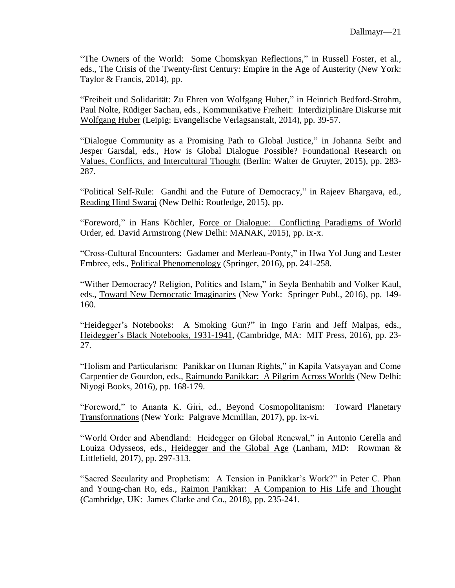"The Owners of the World: Some Chomskyan Reflections," in Russell Foster, et al., eds., The Crisis of the Twenty-first Century: Empire in the Age of Austerity (New York: Taylor & Francis, 2014), pp.

"Freiheit und Solidarität: Zu Ehren von Wolfgang Huber," in Heinrich Bedford-Strohm, Paul Nolte, Rüdiger Sachau, eds., Kommunikative Freiheit: Interdiziplinäre Diskurse mit Wolfgang Huber (Leipig: Evangelische Verlagsanstalt, 2014), pp. 39-57.

"Dialogue Community as a Promising Path to Global Justice," in Johanna Seibt and Jesper Garsdal, eds., How is Global Dialogue Possible? Foundational Research on Values, Conflicts, and Intercultural Thought (Berlin: Walter de Gruyter, 2015), pp. 283- 287.

"Political Self-Rule: Gandhi and the Future of Democracy," in Rajeev Bhargava, ed., Reading Hind Swaraj (New Delhi: Routledge, 2015), pp.

"Foreword," in Hans Köchler, Force or Dialogue: Conflicting Paradigms of World Order, ed. David Armstrong (New Delhi: MANAK, 2015), pp. ix-x.

"Cross-Cultural Encounters: Gadamer and Merleau-Ponty," in Hwa Yol Jung and Lester Embree, eds., Political Phenomenology (Springer, 2016), pp. 241-258.

"Wither Democracy? Religion, Politics and Islam," in Seyla Benhabib and Volker Kaul, eds., Toward New Democratic Imaginaries (New York: Springer Publ., 2016), pp. 149- 160.

"Heidegger's Notebooks: A Smoking Gun?" in Ingo Farin and Jeff Malpas, eds., Heidegger's Black Notebooks, 1931-1941, (Cambridge, MA: MIT Press, 2016), pp. 23- 27.

"Holism and Particularism: Panikkar on Human Rights," in Kapila Vatsyayan and Come Carpentier de Gourdon, eds., Raimundo Panikkar: A Pilgrim Across Worlds (New Delhi: Niyogi Books, 2016), pp. 168-179.

"Foreword," to Ananta K. Giri, ed., Beyond Cosmopolitanism: Toward Planetary Transformations (New York: Palgrave Mcmillan, 2017), pp. ix-vi.

"World Order and Abendland: Heidegger on Global Renewal," in Antonio Cerella and Louiza Odysseos, eds., Heidegger and the Global Age (Lanham, MD: Rowman & Littlefield, 2017), pp. 297-313.

"Sacred Secularity and Prophetism: A Tension in Panikkar's Work?" in Peter C. Phan and Young-chan Ro, eds., Raimon Panikkar: A Companion to His Life and Thought (Cambridge, UK: James Clarke and Co., 2018), pp. 235-241.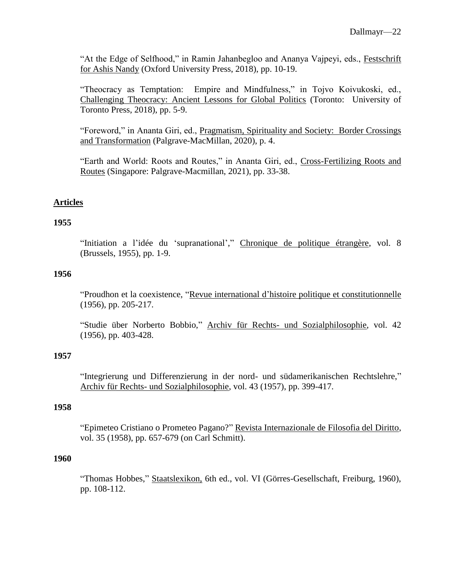"At the Edge of Selfhood," in Ramin Jahanbegloo and Ananya Vajpeyi, eds., Festschrift for Ashis Nandy (Oxford University Press, 2018), pp. 10-19.

"Theocracy as Temptation: Empire and Mindfulness," in Tojvo Koivukoski, ed., Challenging Theocracy: Ancient Lessons for Global Politics (Toronto: University of Toronto Press, 2018), pp. 5-9.

"Foreword," in Ananta Giri, ed., Pragmatism, Spirituality and Society: Border Crossings and Transformation (Palgrave-MacMillan, 2020), p. 4.

"Earth and World: Roots and Routes," in Ananta Giri, ed., Cross-Fertilizing Roots and Routes (Singapore: Palgrave-Macmillan, 2021), pp. 33-38.

## **Articles**

#### **1955**

"Initiation a l'idée du 'supranational'," Chronique de politique étrangère, vol. 8 (Brussels, 1955), pp. 1-9.

## **1956**

"Proudhon et la coexistence, "Revue international d'histoire politique et constitutionnelle (1956), pp. 205-217.

"Studie über Norberto Bobbio," Archiv für Rechts- und Sozialphilosophie, vol. 42 (1956), pp. 403-428.

### **1957**

"Integrierung und Differenzierung in der nord- und südamerikanischen Rechtslehre," Archiv für Rechts- und Sozialphilosophie, vol. 43 (1957), pp. 399-417.

#### **1958**

"Epimeteo Cristiano o Prometeo Pagano?" Revista Internazionale de Filosofia del Diritto, vol. 35 (1958), pp. 657-679 (on Carl Schmitt).

#### **1960**

"Thomas Hobbes," Staatslexikon, 6th ed., vol. VI (Görres-Gesellschaft, Freiburg, 1960), pp. 108-112.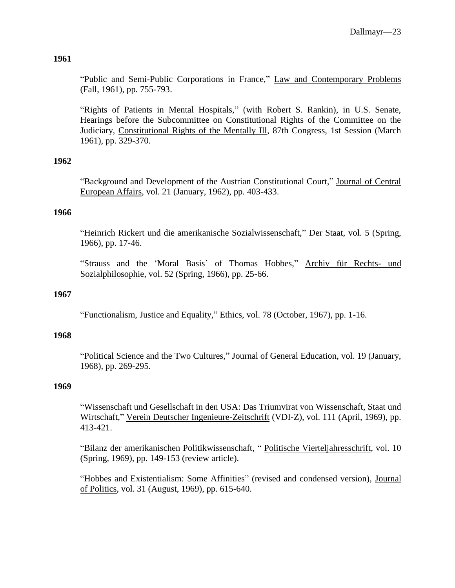"Public and Semi-Public Corporations in France," Law and Contemporary Problems (Fall, 1961), pp. 755-793.

"Rights of Patients in Mental Hospitals," (with Robert S. Rankin), in U.S. Senate, Hearings before the Subcommittee on Constitutional Rights of the Committee on the Judiciary, Constitutional Rights of the Mentally Ill, 87th Congress, 1st Session (March 1961), pp. 329-370.

## **1962**

"Background and Development of the Austrian Constitutional Court," Journal of Central European Affairs, vol. 21 (January, 1962), pp. 403-433.

### **1966**

"Heinrich Rickert und die amerikanische Sozialwissenschaft," Der Staat, vol. 5 (Spring, 1966), pp. 17-46.

"Strauss and the 'Moral Basis' of Thomas Hobbes," Archiv für Rechts- und Sozialphilosophie, vol. 52 (Spring, 1966), pp. 25-66.

### **1967**

"Functionalism, Justice and Equality," Ethics, vol. 78 (October, 1967), pp. 1-16.

## **1968**

"Political Science and the Two Cultures," Journal of General Education, vol. 19 (January, 1968), pp. 269-295.

### **1969**

"Wissenschaft und Gesellschaft in den USA: Das Triumvirat von Wissenschaft, Staat und Wirtschaft," Verein Deutscher Ingenieure-Zeitschrift (VDI-Z), vol. 111 (April, 1969), pp. 413-421.

"Bilanz der amerikanischen Politikwissenschaft, " Politische Vierteljahresschrift, vol. 10 (Spring, 1969), pp. 149-153 (review article).

"Hobbes and Existentialism: Some Affinities" (revised and condensed version), Journal of Politics, vol. 31 (August, 1969), pp. 615-640.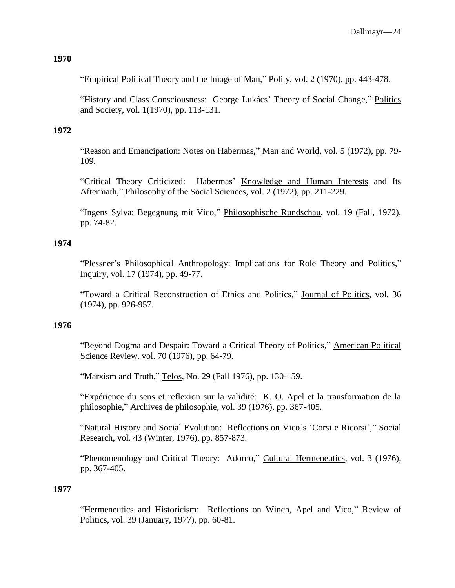"Empirical Political Theory and the Image of Man," Polity, vol. 2 (1970), pp. 443-478.

"History and Class Consciousness: George Lukács' Theory of Social Change," Politics and Society, vol. 1(1970), pp. 113-131.

# **1972**

"Reason and Emancipation: Notes on Habermas," Man and World, vol. 5 (1972), pp. 79- 109.

"Critical Theory Criticized: Habermas' Knowledge and Human Interests and Its Aftermath," Philosophy of the Social Sciences, vol. 2 (1972), pp. 211-229.

"Ingens Sylva: Begegnung mit Vico," Philosophische Rundschau, vol. 19 (Fall, 1972), pp. 74-82.

# **1974**

"Plessner's Philosophical Anthropology: Implications for Role Theory and Politics," Inquiry, vol. 17 (1974), pp. 49-77.

"Toward a Critical Reconstruction of Ethics and Politics," Journal of Politics, vol. 36 (1974), pp. 926-957.

## **1976**

"Beyond Dogma and Despair: Toward a Critical Theory of Politics," American Political Science Review, vol. 70 (1976), pp. 64-79.

"Marxism and Truth," Telos, No. 29 (Fall 1976), pp. 130-159.

"Expérience du sens et reflexion sur la validité: K. O. Apel et la transformation de la philosophie," Archives de philosophie, vol. 39 (1976), pp. 367-405.

"Natural History and Social Evolution: Reflections on Vico's 'Corsi e Ricorsi'," Social Research, vol. 43 (Winter, 1976), pp. 857-873.

"Phenomenology and Critical Theory: Adorno," Cultural Hermeneutics, vol. 3 (1976), pp. 367-405.

## **1977**

"Hermeneutics and Historicism: Reflections on Winch, Apel and Vico," Review of Politics, vol. 39 (January, 1977), pp. 60-81.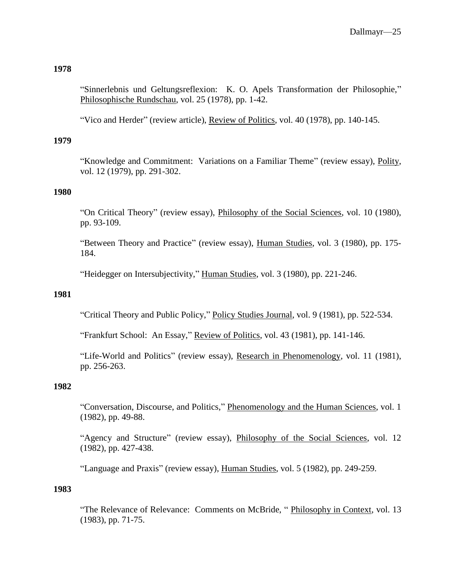"Sinnerlebnis und Geltungsreflexion: K. O. Apels Transformation der Philosophie," Philosophische Rundschau, vol. 25 (1978), pp. 1-42.

"Vico and Herder" (review article), Review of Politics, vol. 40 (1978), pp. 140-145.

## **1979**

"Knowledge and Commitment: Variations on a Familiar Theme" (review essay), Polity, vol. 12 (1979), pp. 291-302.

## **1980**

"On Critical Theory" (review essay), Philosophy of the Social Sciences, vol. 10 (1980), pp. 93-109.

"Between Theory and Practice" (review essay), Human Studies, vol. 3 (1980), pp. 175-184.

"Heidegger on Intersubjectivity," Human Studies, vol. 3 (1980), pp. 221-246.

## **1981**

"Critical Theory and Public Policy," Policy Studies Journal, vol. 9 (1981), pp. 522-534.

"Frankfurt School: An Essay," Review of Politics, vol. 43 (1981), pp. 141-146.

"Life-World and Politics" (review essay), Research in Phenomenology, vol. 11 (1981), pp. 256-263.

#### **1982**

"Conversation, Discourse, and Politics," Phenomenology and the Human Sciences, vol. 1 (1982), pp. 49-88.

"Agency and Structure" (review essay), Philosophy of the Social Sciences, vol. 12 (1982), pp. 427-438.

"Language and Praxis" (review essay), Human Studies, vol. 5 (1982), pp. 249-259.

#### **1983**

"The Relevance of Relevance: Comments on McBride, " Philosophy in Context, vol. 13 (1983), pp. 71-75.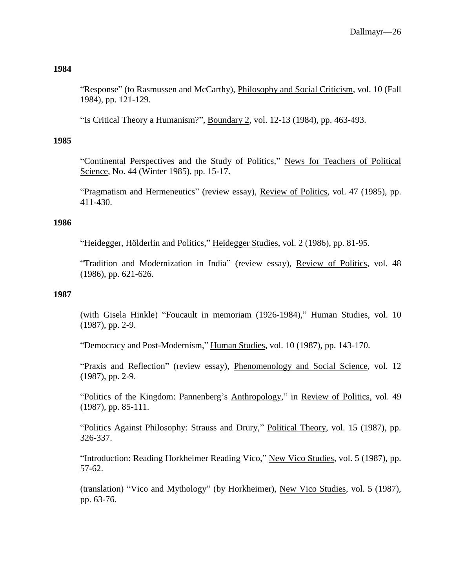"Response" (to Rasmussen and McCarthy), *Philosophy and Social Criticism*, vol. 10 (Fall 1984), pp. 121-129.

"Is Critical Theory a Humanism?", Boundary 2, vol. 12-13 (1984), pp. 463-493.

## **1985**

"Continental Perspectives and the Study of Politics," News for Teachers of Political Science, No. 44 (Winter 1985), pp. 15-17.

"Pragmatism and Hermeneutics" (review essay), Review of Politics, vol. 47 (1985), pp. 411-430.

### **1986**

"Heidegger, Hölderlin and Politics," Heidegger Studies, vol. 2 (1986), pp. 81-95.

"Tradition and Modernization in India" (review essay), Review of Politics, vol. 48 (1986), pp. 621-626.

### **1987**

(with Gisela Hinkle) "Foucault in memoriam (1926-1984)," Human Studies, vol. 10 (1987), pp. 2-9.

"Democracy and Post-Modernism," Human Studies, vol. 10 (1987), pp. 143-170.

"Praxis and Reflection" (review essay), Phenomenology and Social Science, vol. 12 (1987), pp. 2-9.

"Politics of the Kingdom: Pannenberg's Anthropology," in Review of Politics, vol. 49 (1987), pp. 85-111.

"Politics Against Philosophy: Strauss and Drury," Political Theory, vol. 15 (1987), pp. 326-337.

"Introduction: Reading Horkheimer Reading Vico," New Vico Studies, vol. 5 (1987), pp. 57-62.

(translation) "Vico and Mythology" (by Horkheimer), New Vico Studies, vol. 5 (1987), pp. 63-76.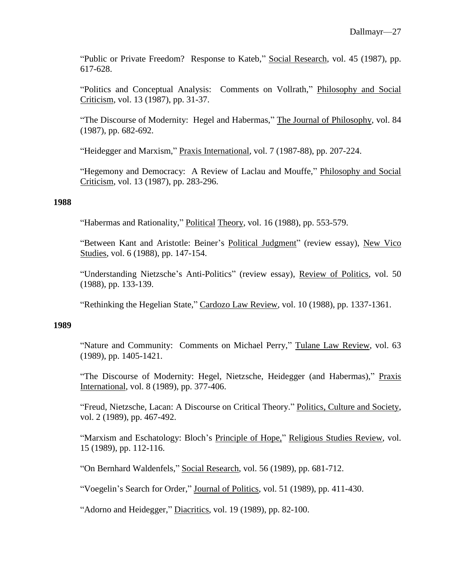"Public or Private Freedom? Response to Kateb," Social Research, vol. 45 (1987), pp. 617-628.

"Politics and Conceptual Analysis: Comments on Vollrath," Philosophy and Social Criticism, vol. 13 (1987), pp. 31-37.

"The Discourse of Modernity: Hegel and Habermas," The Journal of Philosophy, vol. 84 (1987), pp. 682-692.

"Heidegger and Marxism," Praxis International, vol. 7 (1987-88), pp. 207-224.

"Hegemony and Democracy: A Review of Laclau and Mouffe," Philosophy and Social Criticism, vol. 13 (1987), pp. 283-296.

#### **1988**

"Habermas and Rationality," Political Theory, vol. 16 (1988), pp. 553-579.

"Between Kant and Aristotle: Beiner's Political Judgment" (review essay), New Vico Studies, vol. 6 (1988), pp. 147-154.

"Understanding Nietzsche's Anti-Politics" (review essay), Review of Politics, vol. 50 (1988), pp. 133-139.

"Rethinking the Hegelian State," Cardozo Law Review, vol. 10 (1988), pp. 1337-1361.

#### **1989**

"Nature and Community: Comments on Michael Perry," Tulane Law Review, vol. 63 (1989), pp. 1405-1421.

"The Discourse of Modernity: Hegel, Nietzsche, Heidegger (and Habermas)," Praxis International, vol. 8 (1989), pp. 377-406.

"Freud, Nietzsche, Lacan: A Discourse on Critical Theory." Politics, Culture and Society, vol. 2 (1989), pp. 467-492.

"Marxism and Eschatology: Bloch's Principle of Hope," Religious Studies Review, vol. 15 (1989), pp. 112-116.

"On Bernhard Waldenfels," Social Research, vol. 56 (1989), pp. 681-712.

"Voegelin's Search for Order," Journal of Politics, vol. 51 (1989), pp. 411-430.

"Adorno and Heidegger," Diacritics, vol. 19 (1989), pp. 82-100.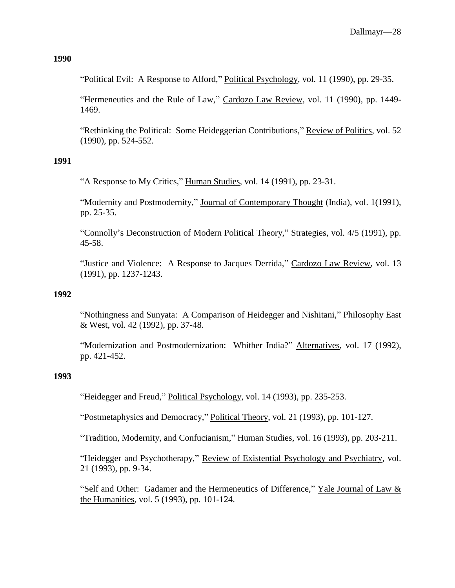"Political Evil: A Response to Alford," Political Psychology, vol. 11 (1990), pp. 29-35.

"Hermeneutics and the Rule of Law," Cardozo Law Review, vol. 11 (1990), pp. 1449- 1469.

"Rethinking the Political: Some Heideggerian Contributions," Review of Politics, vol. 52 (1990), pp. 524-552.

#### **1991**

"A Response to My Critics," Human Studies, vol. 14 (1991), pp. 23-31.

"Modernity and Postmodernity," Journal of Contemporary Thought (India), vol. 1(1991), pp. 25-35.

"Connolly's Deconstruction of Modern Political Theory," Strategies, vol. 4/5 (1991), pp. 45-58.

"Justice and Violence: A Response to Jacques Derrida," Cardozo Law Review, vol. 13 (1991), pp. 1237-1243.

#### **1992**

"Nothingness and Sunyata: A Comparison of Heidegger and Nishitani," Philosophy East & West, vol. 42 (1992), pp. 37-48.

"Modernization and Postmodernization: Whither India?" Alternatives, vol. 17 (1992), pp. 421-452.

#### **1993**

"Heidegger and Freud," Political Psychology, vol. 14 (1993), pp. 235-253.

"Postmetaphysics and Democracy," Political Theory, vol. 21 (1993), pp. 101-127.

"Tradition, Modernity, and Confucianism," Human Studies, vol. 16 (1993), pp. 203-211.

"Heidegger and Psychotherapy," Review of Existential Psychology and Psychiatry, vol. 21 (1993), pp. 9-34.

"Self and Other: Gadamer and the Hermeneutics of Difference," Yale Journal of Law & the Humanities, vol. 5 (1993), pp. 101-124.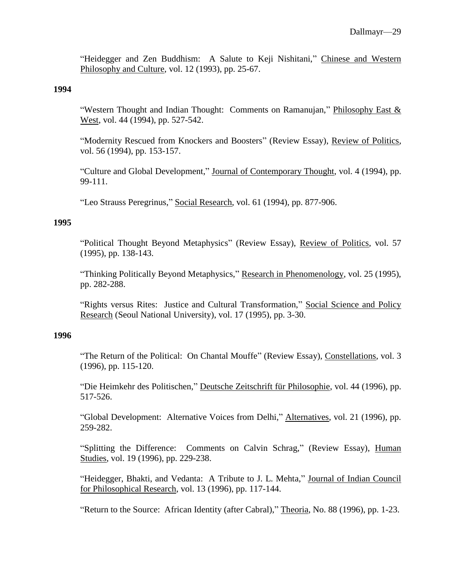"Heidegger and Zen Buddhism: A Salute to Keji Nishitani," Chinese and Western Philosophy and Culture, vol. 12 (1993), pp. 25-67.

#### **1994**

"Western Thought and Indian Thought: Comments on Ramanujan," Philosophy East & West, vol. 44 (1994), pp. 527-542.

"Modernity Rescued from Knockers and Boosters" (Review Essay), Review of Politics, vol. 56 (1994), pp. 153-157.

"Culture and Global Development," Journal of Contemporary Thought, vol. 4 (1994), pp. 99-111.

"Leo Strauss Peregrinus," Social Research, vol. 61 (1994), pp. 877-906.

#### **1995**

"Political Thought Beyond Metaphysics" (Review Essay), Review of Politics, vol. 57 (1995), pp. 138-143.

"Thinking Politically Beyond Metaphysics," Research in Phenomenology, vol. 25 (1995), pp. 282-288.

"Rights versus Rites: Justice and Cultural Transformation," Social Science and Policy Research (Seoul National University), vol. 17 (1995), pp. 3-30.

#### **1996**

"The Return of the Political: On Chantal Mouffe" (Review Essay), Constellations, vol. 3 (1996), pp. 115-120.

"Die Heimkehr des Politischen," Deutsche Zeitschrift für Philosophie, vol. 44 (1996), pp. 517-526.

"Global Development: Alternative Voices from Delhi," Alternatives, vol. 21 (1996), pp. 259-282.

"Splitting the Difference: Comments on Calvin Schrag," (Review Essay), Human Studies, vol. 19 (1996), pp. 229-238.

"Heidegger, Bhakti, and Vedanta: A Tribute to J. L. Mehta," Journal of Indian Council for Philosophical Research, vol. 13 (1996), pp. 117-144.

"Return to the Source: African Identity (after Cabral)," Theoria, No. 88 (1996), pp. 1-23.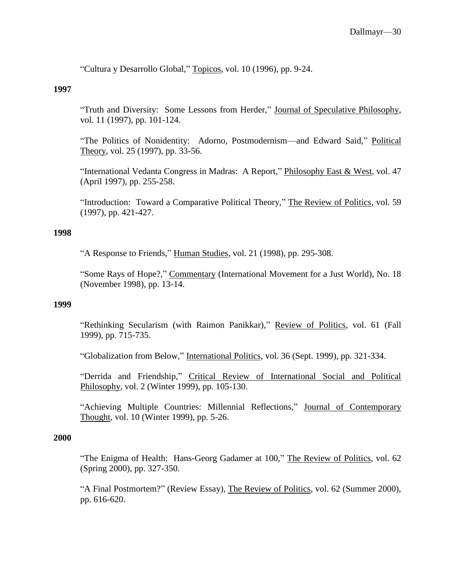"Cultura y Desarrollo Global," Topicos, vol. 10 (1996), pp. 9-24.

#### **1997**

"Truth and Diversity: Some Lessons from Herder," Journal of Speculative Philosophy, vol. 11 (1997), pp. 101-124.

"The Politics of Nonidentity: Adorno, Postmodernism—and Edward Said," Political Theory, vol. 25 (1997), pp. 33-56.

"International Vedanta Congress in Madras: A Report," Philosophy East & West, vol. 47 (April 1997), pp. 255-258.

"Introduction: Toward a Comparative Political Theory," The Review of Politics, vol. 59 (1997), pp. 421-427.

## **1998**

"A Response to Friends," Human Studies, vol. 21 (1998), pp. 295-308.

"Some Rays of Hope?," Commentary (International Movement for a Just World), No. 18 (November 1998), pp. 13-14.

#### **1999**

"Rethinking Secularism (with Raimon Panikkar)," Review of Politics, vol. 61 (Fall 1999), pp. 715-735.

"Globalization from Below," International Politics, vol. 36 (Sept. 1999), pp. 321-334.

"Derrida and Friendship," Critical Review of International Social and Political Philosophy, vol. 2 (Winter 1999), pp. 105-130.

"Achieving Multiple Countries: Millennial Reflections," Journal of Contemporary Thought, vol. 10 (Winter 1999), pp. 5-26.

#### **2000**

"The Enigma of Health: Hans-Georg Gadamer at 100," The Review of Politics, vol. 62 (Spring 2000), pp. 327-350.

"A Final Postmortem?" (Review Essay), The Review of Politics, vol. 62 (Summer 2000), pp. 616-620.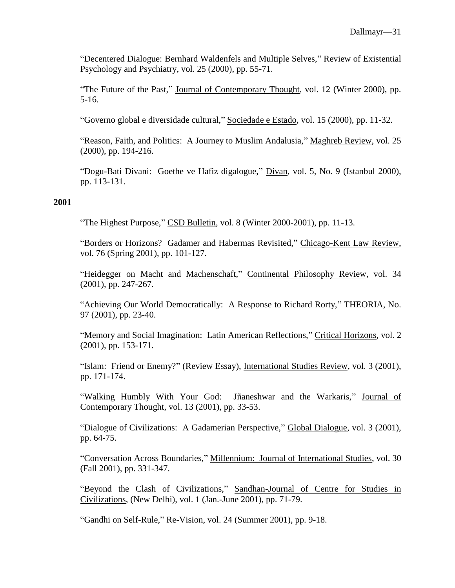"Decentered Dialogue: Bernhard Waldenfels and Multiple Selves," Review of Existential Psychology and Psychiatry, vol. 25 (2000), pp. 55-71.

"The Future of the Past," Journal of Contemporary Thought, vol. 12 (Winter 2000), pp. 5-16.

"Governo global e diversidade cultural," Sociedade e Estado, vol. 15 (2000), pp. 11-32.

"Reason, Faith, and Politics: A Journey to Muslim Andalusia," Maghreb Review, vol. 25 (2000), pp. 194-216.

"Dogu-Bati Divani: Goethe ve Hafiz digalogue," Divan, vol. 5, No. 9 (Istanbul 2000), pp. 113-131.

### **2001**

"The Highest Purpose," CSD Bulletin, vol. 8 (Winter 2000-2001), pp. 11-13.

"Borders or Horizons? Gadamer and Habermas Revisited," Chicago-Kent Law Review, vol. 76 (Spring 2001), pp. 101-127.

"Heidegger on Macht and Machenschaft," Continental Philosophy Review, vol. 34 (2001), pp. 247-267.

"Achieving Our World Democratically: A Response to Richard Rorty," THEORIA, No. 97 (2001), pp. 23-40.

"Memory and Social Imagination: Latin American Reflections," Critical Horizons, vol. 2 (2001), pp. 153-171.

"Islam: Friend or Enemy?" (Review Essay), International Studies Review, vol. 3 (2001), pp. 171-174.

"Walking Humbly With Your God: Jñaneshwar and the Warkaris," Journal of Contemporary Thought, vol. 13 (2001), pp. 33-53.

"Dialogue of Civilizations: A Gadamerian Perspective," Global Dialogue, vol. 3 (2001), pp. 64-75.

"Conversation Across Boundaries," Millennium: Journal of International Studies, vol. 30 (Fall 2001), pp. 331-347.

"Beyond the Clash of Civilizations," Sandhan-Journal of Centre for Studies in Civilizations, (New Delhi), vol. 1 (Jan.-June 2001), pp. 71-79.

"Gandhi on Self-Rule," Re-Vision, vol. 24 (Summer 2001), pp. 9-18.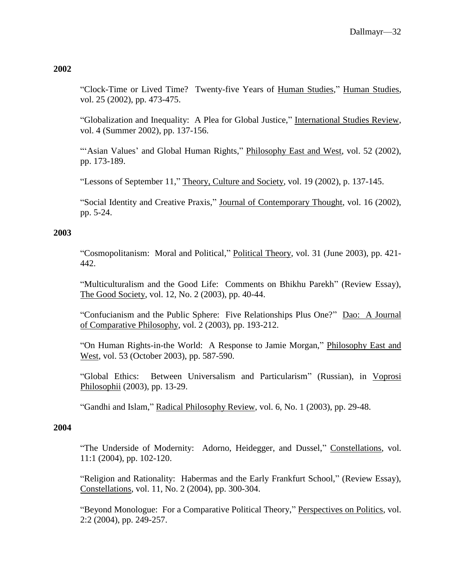"Clock-Time or Lived Time? Twenty-five Years of Human Studies," Human Studies, vol. 25 (2002), pp. 473-475.

"Globalization and Inequality: A Plea for Global Justice," International Studies Review, vol. 4 (Summer 2002), pp. 137-156.

"'Asian Values' and Global Human Rights," Philosophy East and West, vol. 52 (2002), pp. 173-189.

"Lessons of September 11," Theory, Culture and Society, vol. 19 (2002), p. 137-145.

"Social Identity and Creative Praxis," Journal of Contemporary Thought, vol. 16 (2002), pp. 5-24.

### **2003**

"Cosmopolitanism: Moral and Political," Political Theory, vol. 31 (June 2003), pp. 421- 442.

"Multiculturalism and the Good Life: Comments on Bhikhu Parekh" (Review Essay), The Good Society, vol. 12, No. 2 (2003), pp. 40-44.

"Confucianism and the Public Sphere: Five Relationships Plus One?" Dao: A Journal of Comparative Philosophy, vol. 2 (2003), pp. 193-212.

"On Human Rights-in-the World: A Response to Jamie Morgan," Philosophy East and West, vol. 53 (October 2003), pp. 587-590.

"Global Ethics: Between Universalism and Particularism" (Russian), in Voprosi Philosophii (2003), pp. 13-29.

"Gandhi and Islam," Radical Philosophy Review, vol. 6, No. 1 (2003), pp. 29-48.

### **2004**

"The Underside of Modernity: Adorno, Heidegger, and Dussel," Constellations, vol. 11:1 (2004), pp. 102-120.

"Religion and Rationality: Habermas and the Early Frankfurt School," (Review Essay), Constellations, vol. 11, No. 2 (2004), pp. 300-304.

"Beyond Monologue: For a Comparative Political Theory," Perspectives on Politics, vol. 2:2 (2004), pp. 249-257.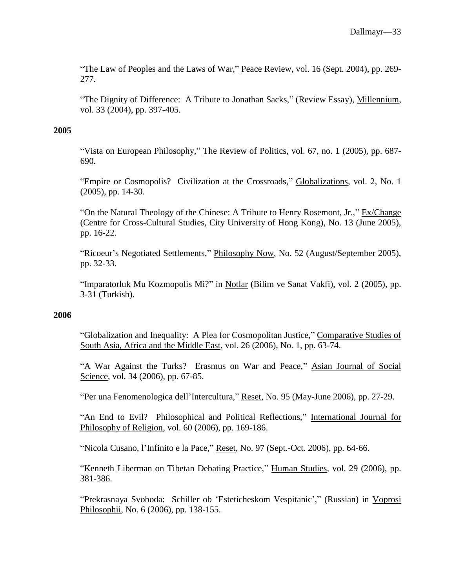"The Law of Peoples and the Laws of War," Peace Review, vol. 16 (Sept. 2004), pp. 269-277.

"The Dignity of Difference: A Tribute to Jonathan Sacks," (Review Essay), Millennium, vol. 33 (2004), pp. 397-405.

#### **2005**

"Vista on European Philosophy," The Review of Politics, vol. 67, no. 1 (2005), pp. 687- 690.

"Empire or Cosmopolis? Civilization at the Crossroads," Globalizations, vol. 2, No. 1 (2005), pp. 14-30.

"On the Natural Theology of the Chinese: A Tribute to Henry Rosemont, Jr.," Ex/Change (Centre for Cross-Cultural Studies, City University of Hong Kong), No. 13 (June 2005), pp. 16-22.

"Ricoeur's Negotiated Settlements," Philosophy Now, No. 52 (August/September 2005), pp. 32-33.

"Imparatorluk Mu Kozmopolis Mi?" in Notlar (Bilim ve Sanat Vakfi), vol. 2 (2005), pp. 3-31 (Turkish).

#### **2006**

"Globalization and Inequality: A Plea for Cosmopolitan Justice," Comparative Studies of South Asia, Africa and the Middle East, vol. 26 (2006), No. 1, pp. 63-74.

"A War Against the Turks? Erasmus on War and Peace," Asian Journal of Social Science, vol. 34 (2006), pp. 67-85.

"Per una Fenomenologica dell'Intercultura," Reset, No. 95 (May-June 2006), pp. 27-29.

"An End to Evil? Philosophical and Political Reflections," International Journal for Philosophy of Religion, vol. 60 (2006), pp. 169-186.

"Nicola Cusano, l'Infinito e la Pace," Reset, No. 97 (Sept.-Oct. 2006), pp. 64-66.

"Kenneth Liberman on Tibetan Debating Practice," Human Studies, vol. 29 (2006), pp. 381-386.

"Prekrasnaya Svoboda: Schiller ob 'Esteticheskom Vespitanic'," (Russian) in Voprosi Philosophii, No. 6 (2006), pp. 138-155.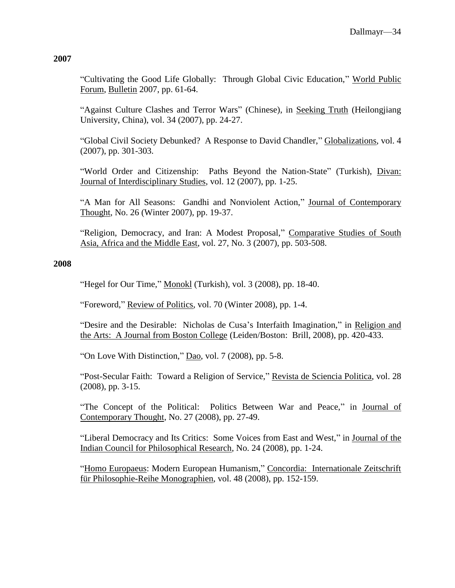"Cultivating the Good Life Globally: Through Global Civic Education," World Public Forum, Bulletin 2007, pp. 61-64.

"Against Culture Clashes and Terror Wars" (Chinese), in Seeking Truth (Heilongjiang University, China), vol. 34 (2007), pp. 24-27.

"Global Civil Society Debunked? A Response to David Chandler," Globalizations, vol. 4 (2007), pp. 301-303.

"World Order and Citizenship: Paths Beyond the Nation-State" (Turkish), Divan: Journal of Interdisciplinary Studies, vol. 12 (2007), pp. 1-25.

"A Man for All Seasons: Gandhi and Nonviolent Action," Journal of Contemporary Thought, No. 26 (Winter 2007), pp. 19-37.

"Religion, Democracy, and Iran: A Modest Proposal," Comparative Studies of South Asia, Africa and the Middle East, vol. 27, No. 3 (2007), pp. 503-508.

## **2008**

"Hegel for Our Time," Monokl (Turkish), vol. 3 (2008), pp. 18-40.

"Foreword," Review of Politics, vol. 70 (Winter 2008), pp. 1-4.

"Desire and the Desirable: Nicholas de Cusa's Interfaith Imagination," in Religion and the Arts: A Journal from Boston College (Leiden/Boston: Brill, 2008), pp. 420-433.

"On Love With Distinction," Dao, vol. 7 (2008), pp. 5-8.

"Post-Secular Faith: Toward a Religion of Service," Revista de Sciencia Politica, vol. 28 (2008), pp. 3-15.

"The Concept of the Political: Politics Between War and Peace," in Journal of Contemporary Thought, No. 27 (2008), pp. 27-49.

"Liberal Democracy and Its Critics: Some Voices from East and West," in Journal of the Indian Council for Philosophical Research, No. 24 (2008), pp. 1-24.

"Homo Europaeus: Modern European Humanism," Concordia: Internationale Zeitschrift für Philosophie-Reihe Monographien, vol. 48 (2008), pp. 152-159.

## **2007**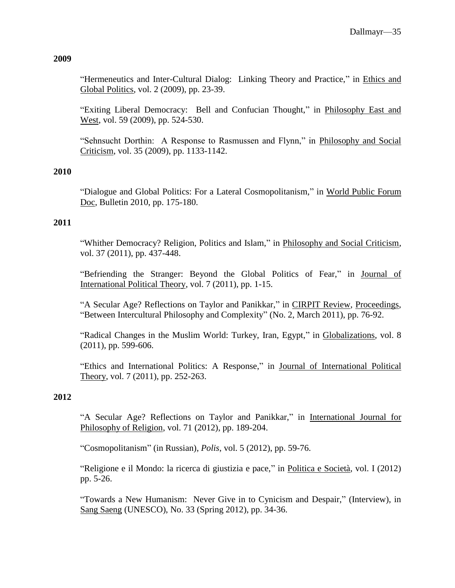# "Hermeneutics and Inter-Cultural Dialog: Linking Theory and Practice," in Ethics and Global Politics, vol. 2 (2009), pp. 23-39.

"Exiting Liberal Democracy: Bell and Confucian Thought," in Philosophy East and West, vol. 59 (2009), pp. 524-530.

"Sehnsucht Dorthin: A Response to Rasmussen and Flynn," in Philosophy and Social Criticism, vol. 35 (2009), pp. 1133-1142.

# **2010**

"Dialogue and Global Politics: For a Lateral Cosmopolitanism," in World Public Forum Doc, Bulletin 2010, pp. 175-180.

# **2011**

"Whither Democracy? Religion, Politics and Islam," in Philosophy and Social Criticism, vol. 37 (2011), pp. 437-448.

"Befriending the Stranger: Beyond the Global Politics of Fear," in Journal of International Political Theory, vol. 7 (2011), pp. 1-15.

"A Secular Age? Reflections on Taylor and Panikkar," in CIRPIT Review, Proceedings, "Between Intercultural Philosophy and Complexity" (No. 2, March 2011), pp. 76-92.

"Radical Changes in the Muslim World: Turkey, Iran, Egypt," in Globalizations, vol. 8 (2011), pp. 599-606.

"Ethics and International Politics: A Response," in Journal of International Political Theory, vol. 7 (2011), pp. 252-263.

# **2012**

"A Secular Age? Reflections on Taylor and Panikkar," in International Journal for Philosophy of Religion, vol. 71 (2012), pp. 189-204.

"Cosmopolitanism" (in Russian), *Polis*, vol. 5 (2012), pp. 59-76.

"Religione e il Mondo: la ricerca di giustizia e pace," in Politica e Società, vol. I (2012) pp. 5-26.

"Towards a New Humanism: Never Give in to Cynicism and Despair," (Interview), in Sang Saeng (UNESCO), No. 33 (Spring 2012), pp. 34-36.

## **2009**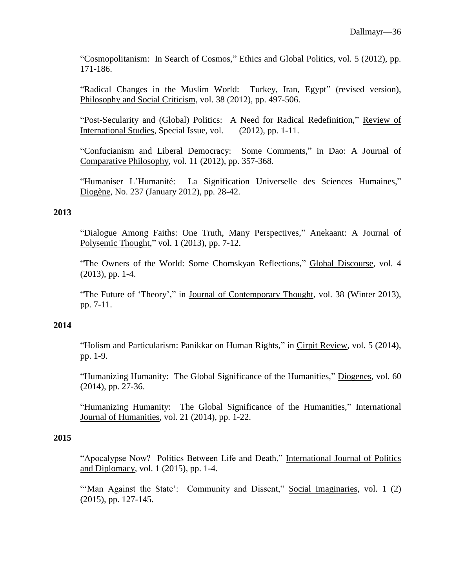"Cosmopolitanism: In Search of Cosmos," Ethics and Global Politics, vol. 5 (2012), pp. 171-186.

"Radical Changes in the Muslim World: Turkey, Iran, Egypt" (revised version), Philosophy and Social Criticism, vol. 38 (2012), pp. 497-506.

"Post-Secularity and (Global) Politics: A Need for Radical Redefinition," Review of International Studies, Special Issue, vol. (2012), pp. 1-11.

"Confucianism and Liberal Democracy: Some Comments," in Dao: A Journal of Comparative Philosophy, vol. 11 (2012), pp. 357-368.

"Humaniser L'Humanité: La Signification Universelle des Sciences Humaines," Diogène, No. 237 (January 2012), pp. 28-42.

### **2013**

"Dialogue Among Faiths: One Truth, Many Perspectives," Anekaant: A Journal of Polysemic Thought," vol. 1 (2013), pp. 7-12.

"The Owners of the World: Some Chomskyan Reflections," Global Discourse, vol. 4 (2013), pp. 1-4.

"The Future of 'Theory'," in Journal of Contemporary Thought, vol. 38 (Winter 2013), pp. 7-11.

### **2014**

"Holism and Particularism: Panikkar on Human Rights," in Cirpit Review, vol. 5 (2014), pp. 1-9.

"Humanizing Humanity: The Global Significance of the Humanities," Diogenes, vol. 60 (2014), pp. 27-36.

"Humanizing Humanity: The Global Significance of the Humanities," International Journal of Humanities, vol. 21 (2014), pp. 1-22.

## **2015**

"Apocalypse Now? Politics Between Life and Death," International Journal of Politics and Diplomacy, vol. 1 (2015), pp. 1-4.

"'Man Against the State': Community and Dissent," Social Imaginaries, vol. 1 (2) (2015), pp. 127-145.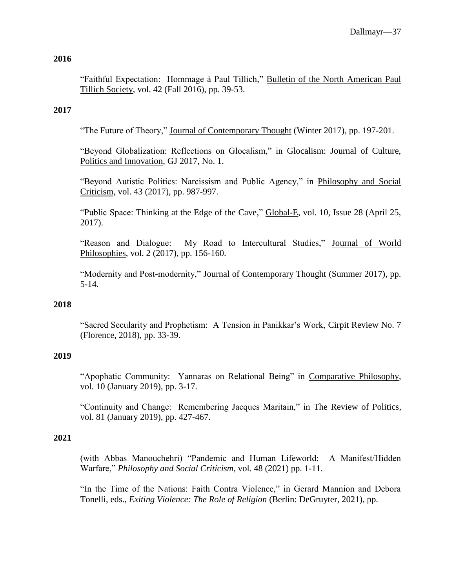"Faithful Expectation: Hommage à Paul Tillich," Bulletin of the North American Paul Tillich Society, vol. 42 (Fall 2016), pp. 39-53.

## **2017**

"The Future of Theory," Journal of Contemporary Thought (Winter 2017), pp. 197-201.

"Beyond Globalization: Reflections on Glocalism," in Glocalism: Journal of Culture, Politics and Innovation, GJ 2017, No. 1.

"Beyond Autistic Politics: Narcissism and Public Agency," in Philosophy and Social Criticism, vol. 43 (2017), pp. 987-997.

"Public Space: Thinking at the Edge of the Cave," Global-E, vol. 10, Issue 28 (April 25, 2017).

"Reason and Dialogue: My Road to Intercultural Studies," Journal of World Philosophies, vol. 2 (2017), pp. 156-160.

"Modernity and Post-modernity," Journal of Contemporary Thought (Summer 2017), pp. 5-14.

### **2018**

"Sacred Secularity and Prophetism: A Tension in Panikkar's Work, Cirpit Review No. 7 (Florence, 2018), pp. 33-39.

## **2019**

"Apophatic Community: Yannaras on Relational Being" in Comparative Philosophy, vol. 10 (January 2019), pp. 3-17.

"Continuity and Change: Remembering Jacques Maritain," in The Review of Politics, vol. 81 (January 2019), pp. 427-467.

### **2021**

(with Abbas Manouchehri) "Pandemic and Human Lifeworld: A Manifest/Hidden Warfare," *Philosophy and Social Criticism*, vol. 48 (2021) pp. 1-11.

"In the Time of the Nations: Faith Contra Violence," in Gerard Mannion and Debora Tonelli, eds., *Exiting Violence: The Role of Religion* (Berlin: DeGruyter, 2021), pp.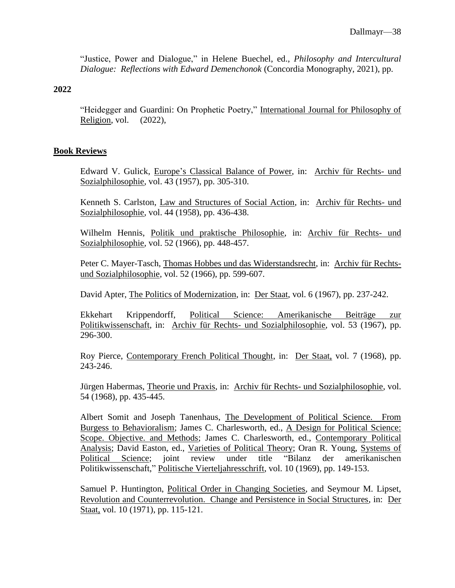"Justice, Power and Dialogue," in Helene Buechel, ed., *Philosophy and Intercultural Dialogue: Reflections with Edward Demenchonok* (Concordia Monography, 2021), pp.

## **2022**

"Heidegger and Guardini: On Prophetic Poetry," International Journal for Philosophy of Religion, vol. (2022),

## **Book Reviews**

Edward V. Gulick, Europe's Classical Balance of Power, in: Archiv für Rechts- und Sozialphilosophie, vol. 43 (1957), pp. 305-310.

Kenneth S. Carlston, Law and Structures of Social Action, in: Archiv für Rechts- und Sozialphilosophie, vol. 44 (1958), pp. 436-438.

Wilhelm Hennis, Politik und praktische Philosophie, in: Archiv für Rechts- und Sozialphilosophie, vol. 52 (1966), pp. 448-457.

Peter C. Mayer-Tasch, Thomas Hobbes und das Widerstandsrecht, in: Archiv für Rechtsund Sozialphilosophie, vol. 52 (1966), pp. 599-607.

David Apter, The Politics of Modernization, in: Der Staat, vol. 6 (1967), pp. 237-242.

Ekkehart Krippendorff, Political Science: Amerikanische Beiträge zur Politikwissenschaft, in: Archiv für Rechts- und Sozialphilosophie, vol. 53 (1967), pp. 296-300.

Roy Pierce, Contemporary French Political Thought, in: Der Staat, vol. 7 (1968), pp. 243-246.

Jürgen Habermas, Theorie und Praxis, in: Archiv für Rechts- und Sozialphilosophie, vol. 54 (1968), pp. 435-445.

Albert Somit and Joseph Tanenhaus, The Development of Political Science. From Burgess to Behavioralism; James C. Charlesworth, ed., A Design for Political Science: Scope. Objective. and Methods; James C. Charlesworth, ed., Contemporary Political Analysis; David Easton, ed., Varieties of Political Theory; Oran R. Young, Systems of Political Science; joint review under title "Bilanz der amerikanischen Politikwissenschaft," Politische Vierteljahresschrift, vol. 10 (1969), pp. 149-153.

Samuel P. Huntington, Political Order in Changing Societies, and Seymour M. Lipset, Revolution and Counterrevolution. Change and Persistence in Social Structures, in: Der Staat, vol. 10 (1971), pp. 115-121.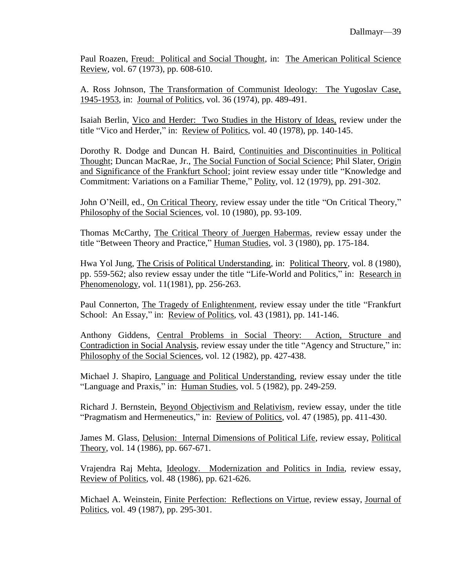Paul Roazen, Freud: Political and Social Thought, in: The American Political Science Review, vol. 67 (1973), pp. 608-610.

A. Ross Johnson, The Transformation of Communist Ideology: The Yugoslav Case, 1945-1953, in: Journal of Politics, vol. 36 (1974), pp. 489-491.

Isaiah Berlin, Vico and Herder: Two Studies in the History of Ideas, review under the title "Vico and Herder," in: Review of Politics, vol. 40 (1978), pp. 140-145.

Dorothy R. Dodge and Duncan H. Baird, Continuities and Discontinuities in Political Thought; Duncan MacRae, Jr., The Social Function of Social Science; Phil Slater, Origin and Significance of the Frankfurt School; joint review essay under title "Knowledge and Commitment: Variations on a Familiar Theme," Polity, vol. 12 (1979), pp. 291-302.

John O'Neill, ed., On Critical Theory, review essay under the title "On Critical Theory," Philosophy of the Social Sciences, vol. 10 (1980), pp. 93-109.

Thomas McCarthy, The Critical Theory of Juergen Habermas, review essay under the title "Between Theory and Practice," Human Studies, vol. 3 (1980), pp. 175-184.

Hwa Yol Jung, The Crisis of Political Understanding, in: Political Theory, vol. 8 (1980), pp. 559-562; also review essay under the title "Life-World and Politics," in: Research in Phenomenology, vol. 11(1981), pp. 256-263.

Paul Connerton, The Tragedy of Enlightenment, review essay under the title "Frankfurt School: An Essay," in: Review of Politics, vol. 43 (1981), pp. 141-146.

Anthony Giddens, Central Problems in Social Theory: Action, Structure and Contradiction in Social Analysis, review essay under the title "Agency and Structure," in: Philosophy of the Social Sciences, vol. 12 (1982), pp. 427-438.

Michael J. Shapiro, Language and Political Understanding, review essay under the title "Language and Praxis," in: Human Studies, vol. 5 (1982), pp. 249-259.

Richard J. Bernstein, Beyond Objectivism and Relativism, review essay, under the title "Pragmatism and Hermeneutics," in: Review of Politics, vol. 47 (1985), pp. 411-430.

James M. Glass, Delusion: Internal Dimensions of Political Life, review essay, Political Theory, vol. 14 (1986), pp. 667-671.

Vrajendra Raj Mehta, Ideology. Modernization and Politics in India, review essay, Review of Politics, vol. 48 (1986), pp. 621-626.

Michael A. Weinstein, Finite Perfection: Reflections on Virtue, review essay, Journal of Politics, vol. 49 (1987), pp. 295-301.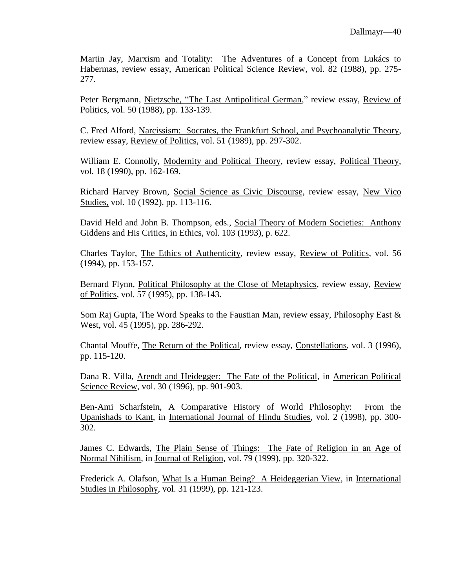Martin Jay, Marxism and Totality: The Adventures of a Concept from Lukács to Habermas, review essay, American Political Science Review, vol. 82 (1988), pp. 275- 277.

Peter Bergmann, Nietzsche, "The Last Antipolitical German," review essay, Review of Politics, vol. 50 (1988), pp. 133-139.

C. Fred Alford, Narcissism: Socrates, the Frankfurt School, and Psychoanalytic Theory, review essay, Review of Politics, vol. 51 (1989), pp. 297-302.

William E. Connolly, Modernity and Political Theory, review essay, Political Theory, vol. 18 (1990), pp. 162-169.

Richard Harvey Brown, Social Science as Civic Discourse, review essay, New Vico Studies, vol. 10 (1992), pp. 113-116.

David Held and John B. Thompson, eds., Social Theory of Modern Societies: Anthony Giddens and His Critics, in Ethics, vol. 103 (1993), p. 622.

Charles Taylor, The Ethics of Authenticity, review essay, Review of Politics, vol. 56 (1994), pp. 153-157.

Bernard Flynn, Political Philosophy at the Close of Metaphysics, review essay, Review of Politics, vol. 57 (1995), pp. 138-143.

Som Raj Gupta, The Word Speaks to the Faustian Man, review essay, Philosophy East & West, vol. 45 (1995), pp. 286-292.

Chantal Mouffe, The Return of the Political, review essay, Constellations, vol. 3 (1996), pp. 115-120.

Dana R. Villa, Arendt and Heidegger: The Fate of the Political, in American Political Science Review, vol. 30 (1996), pp. 901-903.

Ben-Ami Scharfstein, A Comparative History of World Philosophy: From the Upanishads to Kant, in International Journal of Hindu Studies, vol. 2 (1998), pp. 300- 302.

James C. Edwards, The Plain Sense of Things: The Fate of Religion in an Age of Normal Nihilism, in Journal of Religion, vol. 79 (1999), pp. 320-322.

Frederick A. Olafson, What Is a Human Being? A Heideggerian View, in International Studies in Philosophy, vol. 31 (1999), pp. 121-123.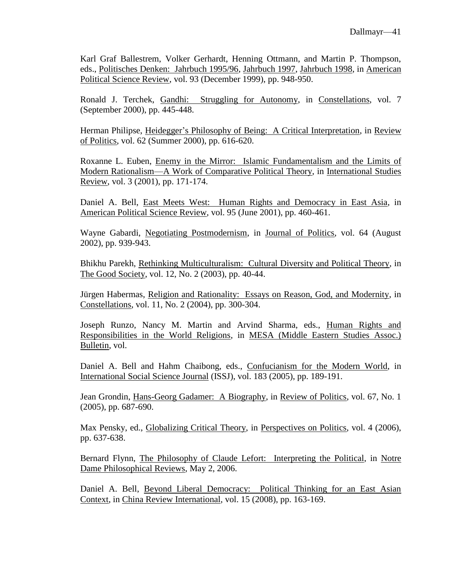Karl Graf Ballestrem, Volker Gerhardt, Henning Ottmann, and Martin P. Thompson, eds., Politisches Denken: Jahrbuch 1995/96, Jahrbuch 1997, Jahrbuch 1998, in American Political Science Review, vol. 93 (December 1999), pp. 948-950.

Ronald J. Terchek, Gandhi: Struggling for Autonomy, in Constellations, vol. 7 (September 2000), pp. 445-448.

Herman Philipse, Heidegger's Philosophy of Being: A Critical Interpretation, in Review of Politics, vol. 62 (Summer 2000), pp. 616-620.

Roxanne L. Euben, Enemy in the Mirror: Islamic Fundamentalism and the Limits of Modern Rationalism—A Work of Comparative Political Theory, in International Studies Review, vol. 3 (2001), pp. 171-174.

Daniel A. Bell, East Meets West: Human Rights and Democracy in East Asia, in American Political Science Review, vol. 95 (June 2001), pp. 460-461.

Wayne Gabardi, Negotiating Postmodernism, in Journal of Politics, vol. 64 (August 2002), pp. 939-943.

Bhikhu Parekh, Rethinking Multiculturalism: Cultural Diversity and Political Theory, in The Good Society, vol. 12, No. 2 (2003), pp. 40-44.

Jürgen Habermas, Religion and Rationality: Essays on Reason, God, and Modernity, in Constellations, vol. 11, No. 2 (2004), pp. 300-304.

Joseph Runzo, Nancy M. Martin and Arvind Sharma, eds., Human Rights and Responsibilities in the World Religions, in MESA (Middle Eastern Studies Assoc.) Bulletin, vol.

Daniel A. Bell and Hahm Chaibong, eds., Confucianism for the Modern World, in International Social Science Journal (ISSJ), vol. 183 (2005), pp. 189-191.

Jean Grondin, Hans-Georg Gadamer: A Biography, in Review of Politics, vol. 67, No. 1 (2005), pp. 687-690.

Max Pensky, ed., Globalizing Critical Theory, in Perspectives on Politics, vol. 4 (2006), pp. 637-638.

Bernard Flynn, The Philosophy of Claude Lefort: Interpreting the Political, in Notre Dame Philosophical Reviews, May 2, 2006.

Daniel A. Bell, Beyond Liberal Democracy: Political Thinking for an East Asian Context, in China Review International, vol. 15 (2008), pp. 163-169.